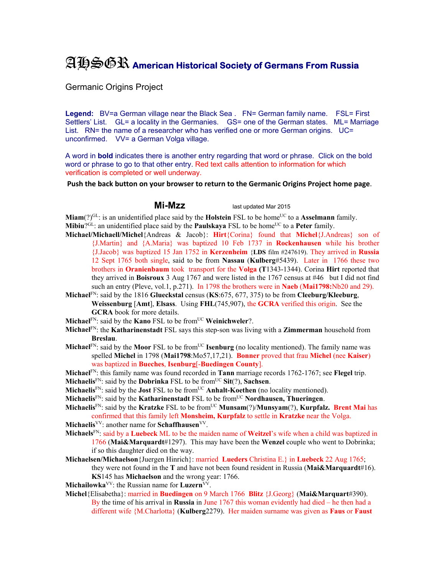## AHSGR **American Historical Society of Germans From Russia**

Germanic Origins Project

**Legend:** BV=a German village near the Black Sea . FN= German family name. FSL= First Settlers' List. GL= a locality in the Germanies. GS= one of the German states. ML= Marriage List. RN= the name of a researcher who has verified one or more German origins. UC= unconfirmed. VV= a German Volga village.

A word in **bold** indicates there is another entry regarding that word or phrase. Click on the bold word or phrase to go to that other entry. Red text calls attention to information for which verification is completed or well underway.

**Push the back button on your browser to return to the Germanic Origins Project home page**.

**Mi-Mzz** last updated Mar 2015

**Miam**(?)<sup>GL</sup>: is an unidentified place said by the **Holstein** FSL to be home<sup>UC</sup> to a **Asselmann** family. **Mibiu**?<sup>GL</sup>: an unidentified place said by the **Paulskaya** FSL to be home<sup>UC</sup> to a **Peter** family.

- **Michael/Michaell/Michel**{Andreas & Jacob}: **Hirt**{Corina} found that **Michel**{J.Andreas} son of {J.Martin} and {A.Maria} was baptized 10 Feb 1737 in **Rockenhausen** while his brother {J.Jacob} was baptized 15 Jan 1752 in **Kerzenheim** {**LDS** film #247619). They arrived in **Russia**  12 Sept 1765 both single, said to be from **Nassau** (**Kulberg**#5439). Later in 1766 these two brothers in **Oranienbaum** took transport for the **Volga (T**1343-1344). Corina **Hirt** reported that they arrived in **Boisroux** 3 Aug 1767 and were listed in the 1767 census at #46 but I did not find such an entry (Pleve, vol.1, p.271). In 1798 the brothers were in **Naeb** (**Mai1798:**Nb20 and 29).
- **Michael**FN: said by the 1816 **Glueckstal** census (**KS**:675, 677, 375) to be from **Cleeburg/Kleeburg**, **Weissenburg** [**Amt**], **Elsass**. Using **FHL**(745,907), the **GCRA** verified this origin. See the **GCRA** book for more details.
- **Michael**<sup>FN</sup>: said by the **Kano** FSL to be from<sup>UC</sup> **Weinichweler**?.
- **Michael**FN: the **Katharinenstadt** FSL says this step-son was living with a **Zimmerman** household from **Breslau**.
- **Michael**<sup>FN</sup>: said by the **Moor** FSL to be from<sup>UC</sup> **Isenburg** (no locality mentioned). The family name was spelled **Michel** in 1798 (**Mai1798**:Mo57,17,21). **Bonner** proved that frau **Michel** (nee **Kaiser**) was baptized in **Bueches**, **Isenburg**[-**Buedingen County**].
- **Michael**FN: this family name was found recorded in **Tann** marriage records 1762-1767; see **Flegel** trip.
- **Michaelis**<sup>FN</sup>: said by the **Dobrinka** FSL to be from<sup>UC</sup> Sit(?), Sachsen.
- **Michaelis**<sup>FN</sup>: said by the **Jost** FSL to be from<sup>UC</sup> **Anhalt-Koethen** (no locality mentioned).
- Michaelis<sup>FN</sup>: said by the **Katharinenstadt** FSL to be from<sup>UC</sup> **Nordhausen**, Thueringen.

**Michaelis**<sup>FN</sup>: said by the **Kratzke** FSL to be from<sup>UC</sup> **Munsam**(?)/**Munsyam**(?), **Kurpfalz. Brent Mai** has confirmed that this family left **Monsheim, Kurpfalz** to settle in **Kratzke** near the Volga.

- Michaelis<sup>VV</sup>: another name for **Schaffhausen**<sup>VV</sup>.
- **Michaels**FN: said by a **Luebeck** ML to be the maiden name of **Weitzel**'s wife when a child was baptized in 1766 (**Mai&Marquardt**#1297). This may have been the **Wenzel** couple who went to Dobrinka; if so this daughter died on the way.
- **Michaelsen/Michaelson**{Juergen Hinrich}: married **Lueders** Christina E.} in **Luebeck** 22 Aug 1765; they were not found in the **T** and have not been found resident in Russia (**Mai&Marquardt**#16). **KS**145 has **Michaelson** and the wrong year: 1766.
- **Michailowka**<sup>VV</sup>: the Russian name for **Luzern**<sup>VV</sup>.
- **Michel**{Elisabetha}: married in **Buedingen** on 9 March 1766 **Blitz** {J.Georg} (**Mai&Marquart**#390). By the time of his arrival in **Russia** in June 1767 this woman evidently had died – he then had a different wife {M.Charlotta} (**Kulberg**2279). Her maiden surname was given as **Faus** or **Faust**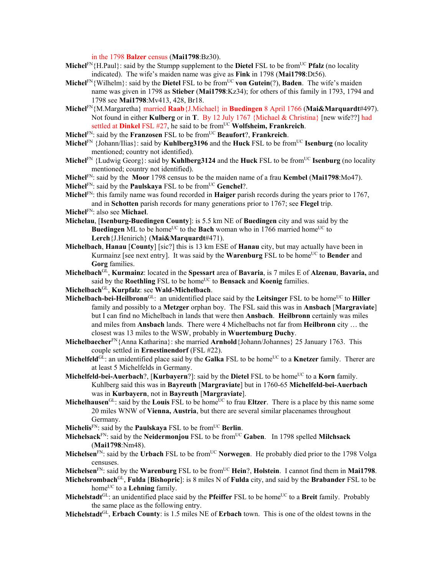in the 1798 **Balzer** census (**Mai1798**:Bz30).

- **Michel**FN{H.Paul}: said by the Stumpp supplement to the **Dietel** FSL to be fromUC **Pfalz** (no locality indicated). The wife's maiden name was give as **Fink** in 1798 (**Mai1798**:Dt56).
- **Michel**<sup>FN</sup>{Wilhelm}: said by the **Dietel** FSL to be from<sup>UC</sup> von Gutein(?), Baden. The wife's maiden name was given in 1798 as **Stieber** (**Mai1798**:Kz34); for others of this family in 1793, 1794 and 1798 see **Mai1798**:Mv413, 428, Br18.
- **Michel**FN{M.Margaretha} married **Raab**{J.Michael} in **Buedingen** 8 April 1766 (**Mai&Marquardt**#497). Not found in either **Kulberg** or in **T**.By 12 July 1767 {Michael & Christina} [new wife??] had settled at **Dinkel** FSL #27, he said to be from<sup>UC</sup> Wolfsheim, Frankreich.
- **Michel**FN: said by the **Franzosen** FSL to be fromUC **Beaufort**?, **Frankreich**.
- **Michel**<sup>FN</sup> {Johann/Ilias}: said by **Kuhlberg3196** and the **Huck** FSL to be from<sup>UC</sup> **Isenburg** (no locality mentioned; country not identified).
- **Michel**<sup>FN</sup> {Ludwig Georg}: said by **Kuhlberg3124** and the **Huck** FSL to be from<sup>UC</sup> **Isenburg** (no locality mentioned; country not identified).
- **Michel**FN: said by the **Moor** 1798 census to be the maiden name of a frau **Kembel** (**Mai1798**:Mo47).
- **Michel**<sup>FN</sup>: said by the **Paulskaya** FSL to be from<sup>UC</sup> **Genchel**?.
- **Michel**FN: this family name was found recorded in **Haiger** parish records during the years prior to 1767, and in **Schotten** parish records for many generations prior to 1767; see **Flegel** trip.

**Michel**FN: also see **Michael**.

- **Michelau**, [**Isenburg-Buedingen County**]: is 5.5 km NE of **Buedingen** city and was said by the **Buedingen** ML to be home<sup>UC</sup> to the **Bach** woman who in 1766 married home<sup>UC</sup> to **Lerch**{J.Henirich} (**Mai&Marquardt**#471).
- **Michelbach**, **Hanau** [**County**] [sic?] this is 13 km ESE of **Hanau** city, but may actually have been in Kurmainz [see next entry]. It was said by the **Warenburg** FSL to be home<sup>UC</sup> to **Bender** and **Gorg** families.
- **Michelbach**GL, **Kurmainz**: located in the **Spessart** area of **Bavaria**, is 7 miles E of **Alzenau**, **Bavaria,** and said by the **Roethling** FSL to be home<sup>UC</sup> to **Bensack** and **Koenig** families.
- **Michelbach**GL, **Kurpfalz**: see **Wald-Michelbach**.
- **Michelbach-bei-Heilbronn**<sup>GL:</sup> an unidentified place said by the **Leitsinger** FSL to be home<sup>UC</sup> to **Hiller** family and possibly to a **Metzger** orphan boy. The FSL said this was in **Ansbach** [**Margraviate**] but I can find no Michelbach in lands that were then **Ansbach**. **Heilbronn** certainly was miles and miles from **Ansbach** lands. There were 4 Michelbachs not far from **Heilbronn** city … the closest was 13 miles to the WSW, probably in **Wuertemburg Duchy**.
- **Michelbaecher**FN{Anna Katharina}: she married **Arnhold**{Johann/Johannes} 25 January 1763. This couple settled in **Ernestinendorf** (FSL #22).
- **Michelfeld**<sup>GL</sup>: an unidentified place said by the **Galka** FSL to be home<sup>UC</sup> to a **Knetzer** family. Therer are at least 5 Michelfelds in Germany.
- **Michelfeld-bei-Auerbach**?, [**Kurbayern**?]: said by the **Dietel** FSL to be home<sup>UC</sup> to a **Korn** family. Kuhlberg said this was in **Bayreuth** [**Margraviate**] but in 1760-65 **Michelfeld-bei-Auerbach**  was in **Kurbayern**, not in **Bayreuth** [**Margraviate**].
- Michelhausen<sup>GL</sup>: said by the **Louis** FSL to be home<sup>UC</sup> to frau **Eltzer**. There is a place by this name some 20 miles WNW of **Vienna, Austria**, but there are several similar placenames throughout Germany.
- **Michelis**<sup>FN</sup>: said by the **Paulskaya** FSL to be from<sup>UC</sup> **Berlin**.
- **Michelsack**FN: said by the **Neidermonjou** FSL to be from<sup>UC</sup> Gaben. In 1798 spelled **Milchsack** (**Mai1798**:Nm48).
- **Michelsen**<sup>FN</sup>: said by the **Urbach** FSL to be from<sup>UC</sup> **Norwegen**. He probably died prior to the 1798 Volga censuses.
- **Michelsen**<sup>FN</sup>: said by the **Warenburg** FSL to be from<sup>UC</sup> **Hein**?, **Holstein**. I cannot find them in **Mai1798**.
- **Michelsrombach**GL, **Fulda** [**Bishopric**]: is 8 miles N of **Fulda** city, and said by the **Brabander** FSL to be home<sup>UC</sup> to a **Lehning** family.
- **Michelstadt**<sup>GL</sup>: an unidentified place said by the **Pfeiffer** FSL to be home<sup>UC</sup> to a **Breit** family. Probably the same place as the following entry.
- **Michelstadt**GL, **Erbach County**: is 1.5 miles NE of **Erbach** town. This is one of the oldest towns in the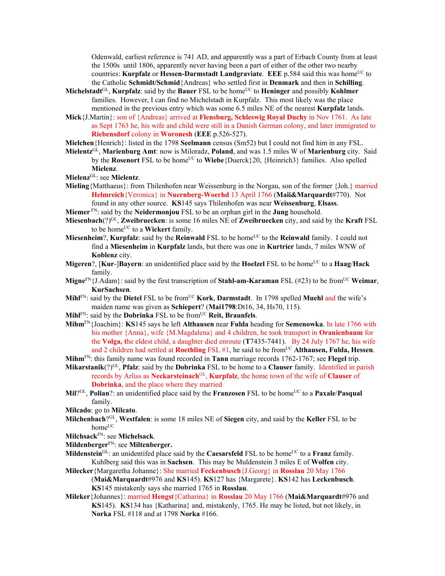Odenwald, earliest reference is 741 AD, and apparently was a part of Erbach County from at least the 1500s until 1806, apparently never having been a part of either of the other two nearby countries: **Kurpfalz** or **Hessen-Darmstadt Landgraviate**. **EEE** p.584 said this was home<sup>UC</sup> to the Catholic **Schmidt/Schmid**{Andreas} who settled first in **Denmark** and then in **Schilling**.

- **Michelstadt**<sup>GL</sup>, **Kurpfalz**: said by the **Bauer** FSL to be home<sup>UC</sup> to **Heninger** and possibly **Kohlmer** families. However, I can find no Michelstadt in Kurpfalz. This most likely was the place mentioned in the previous entry which was some 6.5 miles NE of the nearest **Kurpfalz** lands.
- **Mick**{J.Martin}: son of {Andreas} arrived at **Flensburg, Schleswig Royal Duchy** in Nov 1761. As late as Sept 1763 he, his wife and child were still in a Danish German colony, and later immigrated to **Riebensdorf** colony in **Woronesh** (**EEE** p.526-527).

**Mielchen**{Henrich}: listed in the 1798 **Seelmann** census (Sm52) but I could not find him in any FSL.

- **Mielentz**GL, **Marienburg Amt**: now is Miloradz, **Poland**, and was 1.5 miles W of **Marienburg** city. Said by the **Rosenort** FSL to be home<sup>UC</sup> to **Wiebe**{Duerck}20, {Heinrich3} families. Also spelled **Mielenz**.
- **Mielenz**GL: see **Mielentz**.
- **Mieling**{Matthaeus}: from Thilenhofen near Weissenburg in the Norgau, son of the former {Joh.} married **Helmreich**{Veronica} in **Nuernberg-Woerhd** 13 April 1766 (**Maii&Marquardt**#770). Not found in any other source. **KS**145 says Thilenhofen was near **Weissenburg**, **Elsass**.
- **Miemer** FN: said by the **Neidermonjou** FSL to be an orphan girl in the **Jung** household.
- **Miesenbach**(?)GL, **Zweibruecken**: is some 16 miles NE of **Zweibruecken** city, and said by the **Kraft** FSL to be home<sup>UC</sup> to a **Wickert** family.
- **Miesenheim**?, **Kurpfalz**: said by the **Reinwald** FSL to be home<sup>UC</sup> to the **Reinwald** family. I could not find a **Miesenheim** in **Kurpfalz** lands, but there was one in **Kurtrier** lands, 7 miles WNW of **Koblenz** city.
- **Migeren**?, [Kur-]Bayern: an unidentified place said by the Hoelzel FSL to be home<sup>UC</sup> to a Haag/Hack family.
- **Migne**FN{J.Adam}: said by the first transcription of **Stahl-am-Karaman** FSL (#23) to be fromUC **Weimar**, **KurSachsen**.
- **Mihl**FN: said by the **Dietel** FSL to be from<sup>UC</sup> **Kork**, **Darmstadt**. In 1798 spelled **Muehl** and the wife's maiden name was given as **Schiepert**? (**Mai1798**:Dt16, 34, Hs70, 115).
- Mihl<sup>FN</sup>: said by the **Dobrinka** FSL to be from<sup>UC</sup> **Reit, Braunfels**.
- **Mihm**FN{Joachim}: **KS**145 says he left **Althausen** near **Fulda** heading for **Semenowka**. In late 1766 with his mother {Anna}, wife {M.Magdalena} and 4 children, he took transport in **Oranienbaum** for the **Volga, t**he eldest child, a daughter died enroute (**T**7435-7441). By 24 July 1767 he, his wife and 2 children had settled at **Roethling** FSL #1, he said to be from<sup>UC</sup> Althausen, Fulda, Hessen.
- **Mihm**FN: this family name was found recorded in **Tann** marriage records 1762-1767; see **Flegel** trip.
- **Mikarstanik**(?)GL, **Pfalz**: said by the **Dobrinka** FSL to be home to a **Clauser** family. Identified in parish records by Arliss as **Neckarsteinach**GL, **Kurpfalz**, the home town of the wife of **Clauser** of **Dobrinka**, and the place where they married
- **Mil**<sup>?GL</sup>, **Polian**?: an unidentified place said by the **Franzosen** FSL to be home<sup>UC</sup> to a **Paxale**/**Pasqual** family.
- **Milcado**: go to **Milcato**.
- **Milchenbach**?GL, **Westfalen**: is some 18 miles NE of **Siegen** city, and said by the **Keller** FSL to be home<sup>UC</sup>
- **Milchsack**FN: see **Michelsack**.
- **Mildenberger**FN: see **Miltenberger.**
- **Mildenstein**<sup>GL</sup>: an unidentifed place said by the **Caesarsfeld** FSL to be home<sup>UC</sup> to a **Franz** family. Kuhlberg said this was in **Sachsen**. This may be Muldenstein 3 miles E of **Wolfen** city.
- **Milecker**{Margaretha Johanne}: She married **Feckenbusch**{J.Georg} in **Rosslau** 20 May 1766 (**Mai&Marquardt**#976 and **KS**145). **KS**127 has {Margarete}. **KS**142 has **Leckenbusch**. **KS**145 mistakenly says she married 1765 in **Rosslau**.
- **Mileker**{Johannes}: married **Hengst**{Catharina} in **Rosslau** 20 May 1766 (**Mai&Marquardt**#976 and **KS**145). **KS**134 has {Katharina} and, mistakenly, 1765. He may be listed, but not likely, in **Norka** FSL #118 and at 1798 **Norka** #166.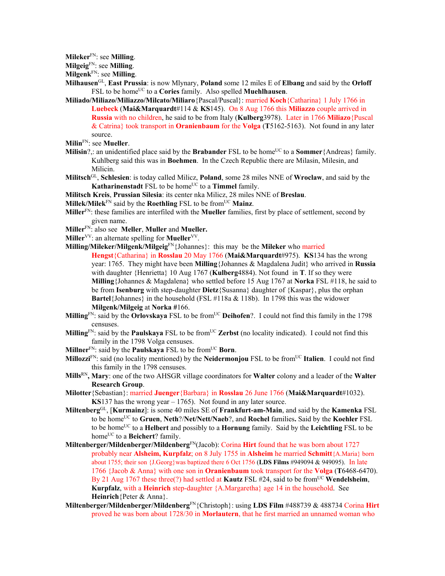**Mileker**FN: see **Milling**.

**Milgeig**FN: see **Milling**.

**Milgenk**FN: see **Milling**.

- **Milhausen**GL, **East Prussia**: is now Mlynary, **Poland** some 12 miles E of **Elbang** and said by the **Orloff** FSL to be home<sup>UC</sup> to a **Cories** family. Also spelled **Muehlhausen**.
- **Miliado/Miliazo/Miliazzo/Milcato/Miliaro**{Pascal/Puscal}: married **Koch**{Catharina} 1 July 1766 in **Luebeck** (**Mai&Marquardt**#114 & **KS**145). On 8 Aug 1766 this **Miliazzo** couple arrived in **Russia** with no children, he said to be from Italy (**Kulberg**3978). Later in 1766 **Miliazo**{Puscal & Catrina} took transport in **Oranienbaum** for the **Volga** (**T**5162-5163). Not found in any later source.
- **Milin**FN: see **Mueller**.
- **Milisin**?,: an unidentified place said by the **Brabander** FSL to be home<sup>UC</sup> to a **Sommer**{Andreas} family. Kuhlberg said this was in **Boehmen**. In the Czech Republic there are Milasin, Milesin, and Milicin.
- **Militsch**GL, **Schlesien**: is today called Milicz, **Poland**, some 28 miles NNE of **Wroclaw**, and said by the **Katharinenstadt** FSL to be home<sup>UC</sup> to a **Timmel** family.
- **Militsch Kreis**, **Prussian Silesia**: its center nka Milicz, 28 miles NNE of **Breslau**.
- **Millek/Milek**<sup>FN</sup> said by the **Roethling** FSL to be from<sup>UC</sup> Mainz.
- **Miller**FN: these families are interfiled with the **Mueller** families, first by place of settlement, second by given name.
- **Miller**FN: also see **Meller**, **Muller** and **Mueller.**
- **Miller**<sup>VV</sup>: an alternate spelling for **Mueller**<sup>VV</sup>.
- **Milling/Mileker/Milgenk/Milgeig**FN{Johannes}: this may be the **Mileker** who married **Hengst**{Catharina} in **Rosslau** 20 May 1766 (**Mai&Marquardt**#975). **KS**134 has the wrong year: 1765. They might have been **Milling**{Johannes & Magdalena Judit} who arrived in **Russia** with daughter {Henrietta} 10 Aug 1767 (**Kulberg**4884). Not found in **T**. If so they were **Milling**{Johannes & Magdalena} who settled before 15 Aug 1767 at **Norka** FSL #118, he said to be from **Isenburg** with step-daughter **Dietz**{Susanna} daughter of {Kaspar}, plus the orphan **Bartel**{Johannes} in the household (FSL #118a & 118b). In 1798 this was the widower **Milgenk/Milgeig** at **Norka #**166.
- **Milling**<sup>FN</sup>: said by the **Orlovskaya** FSL to be from<sup>UC</sup> **Deihofen**?. I could not find this family in the 1798 censuses.
- **Milling**<sup>FN</sup>: said by the **Paulskaya** FSL to be from<sup>UC</sup> **Zerbst** (no locality indicated). I could not find this family in the 1798 Volga censuses.
- **Millner**FN: said by the **Paulskaya** FSL to be fromUC **Born**.
- **Millozzi**<sup>FN</sup>: said (no locality mentioned) by the **Neidermonjou** FSL to be from<sup>UC</sup> Italien. I could not find this family in the 1798 censuses.
- **Mills**RN**, Mary**: one of the two AHSGR village coordinators for **Walter** colony and a leader of the **Walter Research Group**.
- **Milotter**{Sebastian}: married **Juenger**{Barbara} in **Rosslau** 26 June 1766 (**Mai&Marquardt**#1032). **KS**137 has the wrong year – 1765). Not found in any later source.
- **Miltenberg**GL, [**Kurmainz**]: is some 40 miles SE of **Frankfurt-am-Main**, and said by the **Kamenka** FSL to be homeUC to **Gruen**, **Neth**?/**Net/Nett/Naeb**?, and **Rochel** families**.** Said by the **Koehler** FSL to be homeUC to a **Helbert** and possibly to a **Hornung** family. Said by the **Leichtling** FSL to be home<sup>UC</sup> to a **Beichert**? family.
- **Miltenberger/Mildenberger/Mildenberg**FN(Jacob): Corina **Hirt** found that he was born about 1727 probably near **Alsheim, Kurpfalz**; on 8 July 1755 in **Alsheim** he married **Schmitt**{A.Maria} born about 1755; their son {J.Georg}was baptized there 6 Oct 1756 (**LDS Films** #949094 & 949095). In late 1766 {Jacob & Anna} with one son in **Oranienbaum** took transport for the **Volga** (**T**6468-6470). By 21 Aug 1767 these three(?) had settled at **Kautz** FSL #24, said to be from<sup>UC</sup> Wendelsheim, **Kurpfalz**, with a **Heinrich** step-daughter {A.Margaretha} age 14 in the household.See **Heinrich**{Peter & Anna}.
- **Miltenberger/Mildenberger/Mildenberg**FN{Christoph}: using **LDS Film** #488739 & 488734 Corina **Hirt**  proved he was born about 1728/30 in **Morlautern**, that he first married an unnamed woman who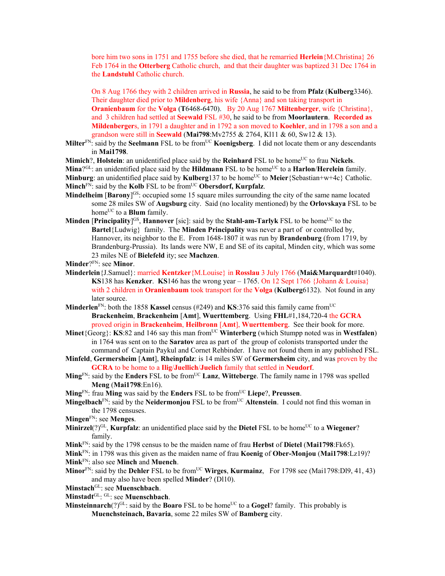bore him two sons in 1751 and 1755 before she died, that he remarried **Herlein**{M.Christina} 26 Feb 1764 in the **Otterberg** Catholic church, and that their daughter was baptized 31 Dec 1764 in the **Landstuhl** Catholic church.

On 8 Aug 1766 they with 2 children arrived in **Russia**, he said to be from **Pfalz** (**Kulberg**3346). Their daughter died prior to **Mildenberg**, his wife {Anna} and son taking transport in **Oranienbaum** for the **Volga** (**T**6468-6470). By 20 Aug 1767 **Miltenberger**, wife {Christina}, and 3 children had settled at **Seewald** FSL #30, he said to be from **Moorlautern**. **Recorded as Mildenberger**s, in 1791 a daughter and in 1792 a son moved to **Koehler**, and in 1798 a son and a grandson were still in **Seewald** (**Mai798**:Mv2755 & 2764, Kl11 & 60, Sw12 & 13).

Milter<sup>FN</sup>: said by the **Seelmann** FSL to be from<sup>UC</sup> **Koenigsberg**. I did not locate them or any descendants in **Mai1798**.

**Mimich**?, **Holstein**: an unidentified place said by the **Reinhard** FSL to be home<sup>UC</sup> to frau **Nickels**.

**Mina**?<sup>GL</sup>: an unidentified place said by the **Hildmann** FSL to be home<sup>UC</sup> to a **Harlon/Herelein** family. **Minburg**: an unidentified place said by **Kulberg** 137 to be home<sup>UC</sup> to **Meier** {Sebastian+w+4c} Catholic. **Minch**FN: said by the **Kolb** FSL to be fromUC **Obersdorf, Kurpfalz**.

- **Mindelheim [Barony]<sup>GS</sup>: occupied some 15 square miles surrounding the city of the same name located** some 28 miles SW of **Augsburg** city. Said (no locality mentioned) by the **Orlovskaya** FSL to be home<sup>UC</sup> to a **Blum** family.
- **Minden [Principality]<sup>GS</sup>, Hannover** [sic]: said by the **Stahl-am-Tarlyk** FSL to be home<sup>UC</sup> to the **Bartel**{Ludwig} family. The **Minden Principality** was never a part of or controlled by, Hannover, its neighbor to the E. From 1648-1807 it was run by **Brandenburg** (from 1719, by Brandenburg-Prussia). Its lands were NW, E and SE of its capital, Minden city, which was some 23 miles NE of **Bielefeld** ity; see **Machzen**.

**Minder**?FN: see **Minor**.

- **Minderlein**{J.Samuel}: married **Kentzker**{M.Louise} in **Rosslau** 3 July 1766 (**Mai&Marquardt**#1040). **KS**138 has **Kenzker**. **KS**146 has the wrong year  $-1765$ . On 12 Sept 1766 {Johann & Louisa} with 2 children in **Oranienbaum** took transport for the **Volga** (**Kulberg**6132). Not found in any later source.
- **Minderlen**<sup>FN</sup>: both the 1858 **Kassel** census (#249) and **KS**:376 said this family came from<sup>UC</sup> **Brackenheim**, **Brackenheim** [**Amt**], **Wuerttemberg**. Using **FHL**#1,184,720-4 the **GCRA** proved origin in **Brackenheim**, **Heilbronn** [**Amt**], **Wuerttemberg**. See their book for more.
- **Minet**{Georg}: **KS**:82 and 146 say this man from<sup>UC</sup> Winterberg (which Stumpp noted was in Westfalen) in 1764 was sent on to the **Saratov** area as part of the group of colonists transported under the command of Captain Paykul and Cornet Rehbinder. I have not found them in any published FSL.
- **Minfeld**, **Germersheim** [**Amt**], **Rheinpfalz**: is 14 miles SW of **Germersheim** city, and was proven by the **GCRA** to be home to a **Ilig**/**Juellich**/**Juelich** family that settled in **Neudorf**.
- **Ming**FN: said by the **Enders** FSL to be fromUC **Lanz**, **Witteberge**. The family name in 1798 was spelled **Meng** (**Mai1798**:En16).

**Ming**<sup>FN</sup>: frau **Ming** was said by the **Enders** FSL to be from<sup>UC</sup> Liepe?, Preussen.

- **Mingelbach**<sup>FN</sup>: said by the **Neidermonjou** FSL to be from<sup>UC</sup> Altenstein. I could not find this woman in the 1798 censuses.
- **Mingen**FN: see **Menges**.
- **Minirzel**(?)<sup>GL</sup>, **Kurpfalz**: an unidentified place said by the **Dietel** FSL to be home<sup>UC</sup> to a **Wiegener**? family.
- **Mink**FN: said by the 1798 census to be the maiden name of frau **Herbst** of **Dietel** (**Mai1798**:Fk65).
- **Mink**FN: in 1798 was this given as the maiden name of frau **Koenig** of **Ober-Monjou** (**Mai1798**:Lz19)? **Mink**FN: also see **Minch** and **Muench**.
- **Minor**FN: said by the **Dehler** FSL to be from<sup>UC</sup> **Wirges**, **Kurmainz**, For 1798 see (Mai1798:Dl9, 41, 43) and may also have been spelled **Minder**? (Dl10).
- **Minstach**GL: see **Muenschbach**.
- **Minstadt**GL: GL: see **Muenschbach**.
- **Minsteinnarch**(?)<sup>GL</sup>: said by the **Boaro** FSL to be home<sup>UC</sup> to a **Gogel**? family. This probably is **Muenchsteinach, Bavaria**, some 22 miles SW of **Bamberg** city.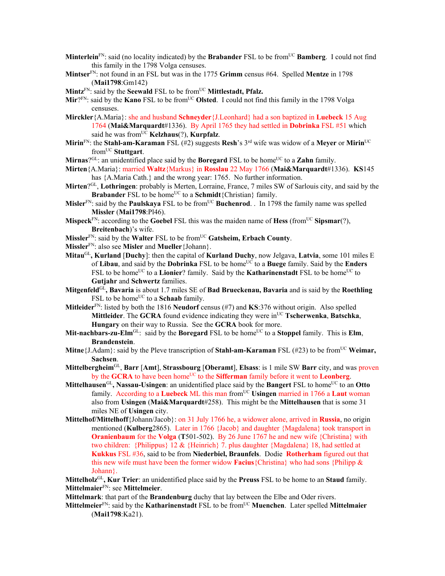- **Minterlein**<sup>FN</sup>: said (no locality indicated) by the **Brabander** FSL to be from<sup>UC</sup> **Bamberg**. I could not find this family in the 1798 Volga censuses.
- **Mintser**FN: not found in an FSL but was in the 1775 **Grimm** census #64. Spelled **Mentze** in 1798 (**Mai1798**:Gm142)
- **Mintz**FN: said by the **Seewald** FSL to be fromUC **Mittlestadt, Pfalz.**
- Mir?<sup>FN</sup>: said by the **Kano** FSL to be from<sup>UC</sup> Olsted. I could not find this family in the 1798 Volga censuses.
- **Mirckler**{A.Maria}: she and husband **Schneyder**{J.Leonhard} had a son baptized in **Luebeck** 15 Aug 1764 (**Mai&Marquardt**#1336). By April 1765 they had settled in **Dobrinka** FSL #51 which said he was from<sup>UC</sup> **Kelzhaus**(?), **Kurpfalz**.
- **Mirin**FN: the **Stahl-am-Karaman** FSL (#2) suggests **Resh**'s 3rd wife was widow of a **Meyer** or **Mirin**UC fromUC **Stuttgart**.
- Mirnas?<sup>GL</sup>: an unidentified place said by the **Boregard** FSL to be home<sup>UC</sup> to a **Zahn** family.
- **Mirten**{A.Maria}: married **Waltz**{Markus} in **Rosslau** 22 May 1766 (**Mai&Marquardt**#1336). **KS**145 has  ${A.Maria Cath.}$  and the wrong year: 1765. No further information.
- **Mirten**?GL, **Lothringen**: probably is Merten, Lorraine, France, 7 miles SW of Sarlouis city, and said by the **Brabander** FSL to be home<sup>UC</sup> to a **Schmidt**{Christian} family.
- **Misler**<sup>FN</sup>: said by the **Paulskaya** FSL to be from<sup>UC</sup> **Buchenrod.** . In 1798 the family name was spelled **Missler** (**Mai1798**:Pl46).
- **Mispeck**FN: according to the **Goebel** FSL this was the maiden name of **Hess** (fromUC **Sipsmar**(?), **Breitenbach**)'s wife.
- **Missler**FN: said by the **Walter** FSL to be fromUC **Gatsheim, Erbach County**.
- **Missler**FN: also see **Misler** and **Mueller**{Johann}.
- **Mitau**GL**, Kurland** [**Duchy**]: then the capital of **Kurland Duchy**, now Jelgava, **Latvia**, some 101 miles E of **Libau**, and said by the **Dobrinka** FSL to be homeUC to a **Buege** family. Said by the **Enders** FSL to be home<sup>UC</sup> to a **Lionier**? family. Said by the **Katharinenstadt** FSL to be home<sup>UC</sup> to **Gutjahr** and **Schwertz** families.
- **Mitgenfeld**GL**, Bavaria** is about 1.7 miles SE of **Bad Brueckenau, Bavaria** and is said by the **Roethling** FSL to be home<sup>UC</sup> to a **Schaab** family.
- **Mitleider**FN: listed by both the 1816 **Neudorf** census (#7) and **KS**:376 without origin. Also spelled **Mittleider**. The **GCRA** found evidence indicating they were in<sup>UC</sup> **Tscherwenka**, **Batschka**, **Hungary** on their way to Russia. See the **GCRA** book for more.
- **Mit-nachbars-zu-Elm** $<sup>GL</sup>$ : said by the **Boregard** FSL to be home<sup>UC</sup> to a **Stoppel** family. This is **Elm**,</sup> **Brandenstein**.
- **Mitne**{J.Adam}: said by the Pleve transcription of **Stahl-am-Karaman** FSL (#23) to be from<sup>UC</sup> Weimar, **Sachsen**.
- **Mittelbergheim**GL, **Barr** [**Amt**], **Strassbourg** [**Oberamt**], **Elsass**: is 1 mile SW **Barr** city, and was proven by the **GCRA** to have been home<sup>UC</sup> to the **Sifferman** family before it went to **Leonberg**.
- **Mittelhausen**<sup>GL</sup>, Nassau-Usingen: an unidentified place said by the **Bangert** FSL to home<sup>UC</sup> to an Otto family. According to a Luebeck ML this man from<sup>UC</sup> Usingen married in 1766 a Laut woman also from **Usingen** (**Mai&Marquardt**#258). This might be the **Mittelhausen** that is some 31 miles NE of **Usingen** city.
- **Mittelhof/Mittelhoff**{Johann/Jacob}: on 31 July 1766 he, a widower alone, arrived in **Russia**, no origin mentioned (**Kulberg**2865). Later in 1766 {Jacob} and daughter {Magdalena} took transport in **Oranienbaum** for the **Volga** (**T**501-502). By 26 June 1767 he and new wife {Christina} with two children: {Philippus} 12 & {Heinrich} 7. plus daughter {Magdalena} 18, had settled at **Kukkus** FSL #36, said to be from **Niederbiel, Braunfels**. Dodie **Rotherham** figured out that this new wife must have been the former widow **Facius**{Christina} who had sons {Philipp & Johann}.

**Mittelholz**GL**, Kur Trier**: an unidentified place said by the **Preuss** FSL to be home to an **Staud** family. **Mittelmaier**FN: see **Mittelmeier**.

**Mittelmark**: that part of the **Brandenburg** duchy that lay between the Elbe and Oder rivers.

**Mittelmeier**<sup>FN</sup>: said by the **Katharinenstadt** FSL to be from<sup>UC</sup> **Muenchen**. Later spelled **Mittelmaier** (**Mai1798**:Ka21).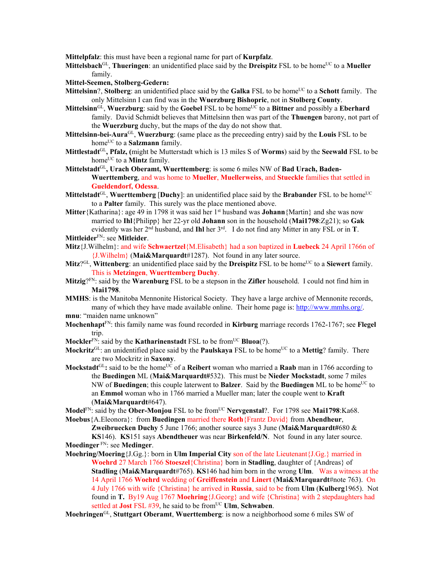**Mittelpfalz**: this must have been a regional name for part of **Kurpfalz**.

**Mittelsbach**<sup>GL</sup>, **Thueringen**: an unidentified place said by the **Dreispitz** FSL to be home<sup>UC</sup> to a **Mueller** family.

## **Mittel-Seemen, Stolberg-Gedern:**

- **Mittelsinn?, Stolberg**: an unidentified place said by the **Galka** FSL to be home<sup>UC</sup> to a **Schott** family. The only Mittelsinn I can find was in the **Wuerzburg Bishopric**, not in **Stolberg County**.
- **Mittelsinn**<sup>GL</sup>, **Wuerzburg**: said by the **Goebel** FSL to be home<sup>UC</sup> to a Bittner and possibly a Eberhard family. David Schmidt believes that Mittelsinn then was part of the **Thuengen** barony, not part of the **Wuerzburg** duchy, but the maps of the day do not show that.
- **Mittelsinn-bei-Aura**GL, **Wuerzburg**: (same place as the preceeding entry) said by the **Louis** FSL to be home<sup>UC</sup> to a **Salzmann** family.
- **Mittlestadt**GL**, Pfalz, (**might be Mutterstadt which is 13 miles S of **Worms**) said by the **Seewald** FSL to be home<sup>UC</sup> to a **Mintz** family.
- Mittelstadt<sup>GL</sup>, Urach Oberamt, Wuerttemberg: is some 6 miles NW of Bad Urach. Baden-**Wuerttemberg**, and was home to **Mueller**, **Muellerweiss**, and **Stueckle** families that settled in **Gueldendorf, Odessa**.
- **Mittelstadt**<sup>GL</sup>, **Wuerttemberg** [Duchy]: an unidentified place said by the Brabander FSL to be home<sup>UC</sup> to a **Palter** family. This surely was the place mentioned above.
- **Mitter** {Katharina}: age 49 in 1798 it was said her 1<sup>st</sup> husband was **Johann** {Martin} and she was now married to **Ihl**{Philipp} her 22-yr old **Johann** son in the household (**Mai1798**:Zg21); so **Gak** evidently was her 2nd husband, and **Ihl** her 3rd. I do not find any Mitter in any FSL or in **T**.
- **Mittleider**FN: see **Mitleider**.
- **Mitz**{J.Wilhelm}: and wife **Schwaertzel**{M.Elisabeth} had a son baptized in **Luebeck** 24 April 1766n of {J.Wilhelm} (**Mai&Marquardt**#1287). Not found in any later source.
- **Mitz**?<sup>GL</sup>, **Wittenberg**: an unidentified place said by the **Dreispitz** FSL to be home<sup>UC</sup> to a **Siewert** family. This is **Metzingen**, **Wuerttemberg Duchy**.
- **Mitzig**?FN: said by the **Warenburg** FSL to be a stepson in the **Zifler** household. I could not find him in **Mai1798**.
- **MMHS**: is the Manitoba Mennonite Historical Society. They have a large archive of Mennonite records, many of which they have made available online. Their home page is: http://www.mmhs.org/. **mnu**: "maiden name unknown"
- **Mochenhapt**FN: this family name was found recorded in **Kirburg** marriage records 1762-1767; see **Flegel** trip.
- **Mockler<sup>FN</sup>: said by the <b>Katharinenstadt** FSL to be from<sup>UC</sup> **Bluoa**(?).
- **Mockritz**<sup>GL</sup>: an unidentified place said by the **Paulskaya** FSL to be home<sup>UC</sup> to a **Mettig**? family. There are two Mockritz in **Saxony**.
- **Mockstadt**<sup>GL</sup>: said to be the home<sup>UC</sup> of a **Reibert** woman who married a **Raab** man in 1766 according to the **Buedingen** ML (**Mai&Marquardt#**532). This must be **Nieder Mockstadt**, some 7 miles NW of **Buedingen**; this couple laterwent to **Balzer**. Said by the **Buedingen** ML to be home<sup>UC</sup> to an **Emmol** woman who in 1766 married a Mueller man; later the couple went to **Kraft** (**Mai&Marquardt**#647).
- **Model**FN: said by the **Ober-Monjou** FSL to be fromUC **Nervgenstal**?. For 1798 see **Mai1798**:Ka68. **Moebus**{A.Eleonora}: from **Buedingen** married there **Roth**{Frantz David} from **Abendheur**,

**Zweibruecken Duchy** 5 June 1766; another source says 3 June (**Mai&Marquardt#**680 & **KS**146). **KS**151 says **Abendtheuer** was near **Birkenfeld/N**. Not found in any later source. **Moedinger** FN: see **Medinger**.

**Moehring/Moering**{J.Gg.}: born in **Ulm Imperial City** son of the late Lieutenant{J.Gg.} married in **Woehrd** 27 March 1766 **Stoeszel**{Christina} born in **Stadling**, daughter of {Andreas} of **Stadling** (**Mai&Marquardt**#765). **KS**146 had him born in the wrong **Ulm**. Was a witness at the 14 April 1766 **Woehrd** wedding of **Greiffenstein** and **Linert** (**Mai&Marquardt**#note 763). On 4 July 1766 with wife {Christina} he arrived in **Russia**, said to be from **Ulm** (**Kulberg**1965). Not found in **T.** By19 Aug 1767 **Moehring**{J.Georg} and wife {Christina} with 2 stepdaughters had settled at **Jost** FSL #39, he said to be from<sup>UC</sup> **Ulm**, **Schwaben**.

**Moehringen**GL, **Stuttgart Oberamt**, **Wuerttemberg**: is now a neighborhood some 6 miles SW of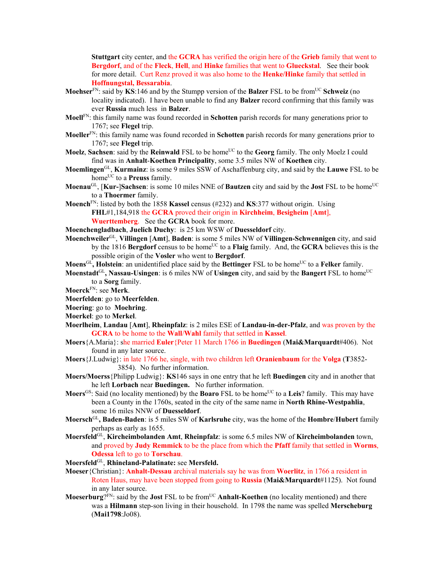**Stuttgart** city center, and the **GCRA** has verified the origin here of the **Grieb** family that went to **Bergdorf**, and of the **Fleck**, **Hell**, and **Hinke** families that went to **Glueckstal**. See their book for more detail. Curt Renz proved it was also home to the **Henke/Hinke** family that settled in **Hoffnungstal, Bessarabia**.

- **Moehser**<sup>FN</sup>: said by **KS**:146 and by the Stumpp version of the **Balzer** FSL to be from<sup>UC</sup> Schweiz (no locality indicated). I have been unable to find any **Balzer** record confirming that this family was ever **Russia** much less in **Balzer**.
- **Moell**FN: this family name was found recorded in **Schotten** parish records for many generations prior to 1767; see **Flegel** trip.
- **Moeller**FN: this family name was found recorded in **Schotten** parish records for many generations prior to 1767; see **Flegel** trip.
- **Moelz, Sachsen**: said by the **Reinwald** FSL to be home<sup>UC</sup> to the **Georg** family. The only Moelz I could find was in **Anhalt**-**Koethen Principality**, some 3.5 miles NW of **Koethen** city.
- **Moemlingen**GL, **Kurmainz**: is some 9 miles SSW of Aschaffenburg city, and said by the **Lauwe** FSL to be home<sup>UC</sup> to a **Preuss** family.
- **Moenau<sup>GL</sup>, [Kur-]Sachsen**: is some 10 miles NNE of **Bautzen** city and said by the **Jost** FSL to be home<sup>UC</sup> to a **Thoermer** family.
- **Moench**FN: listed by both the 1858 **Kassel** census (#232) and **KS**:377 without origin. Using **FHL**#1,184,918 the **GCRA** proved their origin in **Kirchheim**, **Besigheim** [**Amt**], **Wuerttemberg**. See the **GCRA** book for more.
- **Moenchengladbach**, **Juelich Duchy**: is 25 km WSW of **Duesseldorf** city.
- **Moenchweiler**GL, **Villingen** [**Amt**], **Baden**: is some 5 miles NW of **Villingen-Schwennigen** city, and said by the 1816 **Bergdorf** census to be home<sup>UC</sup> to a **Flaig** family. And, the **GCRA** believes this is the possible origin of the **Vosler** who went to **Bergdorf**.
- **Moens**<sup>GL</sup>, **Holstein**: an unidentified place said by the **Bettinger** FSL to be home<sup>UC</sup> to a **Felker** family.
- **Moenstadt**<sup>GL</sup>, Nassau-Usingen: is 6 miles NW of Usingen city, and said by the **Bangert** FSL to home<sup>UC</sup> to a **Sorg** family.
- **Moerck**FN: see **Merk**.
- **Moerfelden**: go to **Meerfelden**.
- **Moering**: go to **Moehring**.
- **Moerkel**: go to **Merkel**.
- **Moerlheim**, **Landau** [**Amt**], **Rheinpfalz**: is 2 miles ESE of **Landau-in-der-Pfalz**, and was proven by the **GCRA** to be home to the **Wall**/**Wahl** family that settled in **Kassel**.
- **Moers**{A.Maria}: she married **Euler**{Peter 11 March 1766 in **Buedingen** (**Mai&Marquardt**#406). Not found in any later source.
- **Moers**{J.Ludwig}: in late 1766 he, single, with two children left **Oranienbaum** for the **Volga** (**T**3852- 3854). No further information.
- **Moers/Moerss**{Philipp Ludwig}: **KS**146 says in one entry that he left **Buedingen** city and in another that he left **Lorbach** near **Buedingen.** No further information.
- **Moers**<sup>GS</sup>: Said (no locality mentioned) by the **Boaro** FSL to be home<sup>UC</sup> to a Leis? family. This may have been a County in the 1760s, seated in the city of the same name in **North Rhine-Westpahlia**, some 16 miles NNW of **Duesseldorf**.
- **Moersch**GL**, Baden-Baden**: is 5 miles SW of **Karlsruhe** city, was the home of the **Hombre**/**Hubert** family perhaps as early as 1655.
- **Moersfeld**GL, **Kircheimbolanden Amt**, **Rheinpfalz**: is some 6.5 miles NW of **Kircheimbolanden** town, and proved by **Judy Remmick** to be the place from which the **Pfaff** family that settled in **Worms**, **Odessa** left to go to **Torschau**.
- **Moersfeld**GL, **Rhineland-Palatinate:** see **Mersfeld.**
- **Moeser**{Christian}: **Anhalt-Dessau** archival materials say he was from **Woerlitz**, in 1766 a resident in Roten Haus, may have been stopped from going to **Russia** (**Mai&Marquardt**#1125). Not found in any later source.
- **Moeserburg**?FN: said by the **Jost** FSL to be fromUC **Anhalt-Koethen** (no locality mentioned) and there was a **Hilmann** step-son living in their household. In 1798 the name was spelled **Merscheburg** (**Mai1798**:Jo08).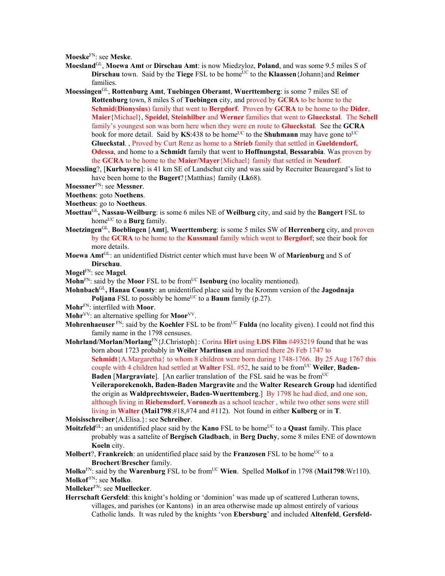**Moeske**FN: see **Meske**.

- **Moesland**GL, **Moewa Amt** or **Dirschau Amt**: is now Miedzyloz, **Poland**, and was some 9.5 miles S of **Dirschau** town. Said by the **Tiege** FSL to be home<sup>UC</sup> to the **Klaassen** {Johann}and **Reimer** families.
- **Moessingen**GL, **Rottenburg Amt**, **Tuebingen Oberamt**, **Wuerttemberg**: is some 7 miles SE of **Rottenburg** town, 8 miles S of **Tuebingen** city, and proved by **GCRA** to be home to the **Schmid**(**Dionysius**) family that went to **Bergdorf**. Proven by **GCRA** to be home to the **Dider**, **Maier**{Michael}, **Speidel**, **Steinhilber** and **Werner** families that went to **Glueckstal**. The **Schell** family's youngest son was born here when they were en route to **Glueckstal**. See the **GCRA** book for more detail. Said by  $\text{KS}:438$  to be home<sup>UC</sup> to the **Shuhmann** may have gone to<sup>UC</sup> **Glueckstal**. , Proved by Curt Renz as home to a **Strieb** family that settled in **Gueldendorf, Odessa**, and home to a **Schmidt** family that went to **Hoffnungstal**, **Bessarabia**. Was proven by the **GCRA** to be home to the **Maier/Mayer**{Michael} family that settled in **Neudorf**.
- **Moessling**?, [**Kurbayern**]: is 41 km SE of Landschut city and was said by Recruiter Beauregard's list to have been home to the **Bugert**?{Matthias} family (**Lk**68).
- **Moessner**FN: see **Messner**.
- **Moethens**: goto **Noethens**.
- **Moetheus**: go to **Noetheus**.
- **Moettau**GL**, Nassau-Weilburg**: is some 6 miles NE of **Weilburg** city, and said by the **Bangert** FSL to home<sup>UC</sup> to a **Burg** family.
- **Moetzingen**GL, **Boeblingen** [**Amt**], **Wuerttemberg**: is some 5 miles SW of **Herrenberg** city, and proven by the **GCRA** to be home to the **Kussmaul** family which went to **Bergdorf**; see their book for more details.
- **Moewa Amt**GL: an unidentified District center which must have been W of **Marienburg** and S of **Dirschau**.
- **Mogel**FN: see **Magel**.
- **Mohn**<sup>FN</sup>: said by the **Moor** FSL to be from<sup>UC</sup> **Isenburg** (no locality mentioned).
- **Mohnbach**GL**, Hanau County**: an unidentified place said by the Kromm version of the **Jagodnaja Poljana** FSL to possibly be home<sup>UC</sup> to a **Baum** family (p.27).
- **Mohr**FN: interfiled with **Moor**.
- **Mohr**<sup>VV</sup>: an alternative spelling for **Moor**<sup>VV</sup>.
- **Mohrenhaeuser** FN: said by the **Koehler** FSL to be from<sup>UC</sup> **Fulda** (no locality given). I could not find this family name in the 1798 censuses.
- **Mohrland/Morlan/Morlang**FN{J.Christoph}: Corina **Hirt** using **LDS Film** #493219 found that he was born about 1723 probably in **Weiler Martinsen** and married there 26 Feb 1747 to **Schmidt**{A.Margaretha} to whom 8 children were born during 1748-1766. By 25 Aug 1767 this couple with 4 children had settled at **Walter** FSL #52, he said to be from<sup>UC</sup> Weiler, Baden-**Baden [Margraviate].** [An earlier translation of the FSL said he was be from<sup>UC</sup> **Veileraporekenokh, Baden-Baden Margravite** and the **Walter Research Group** had identified the origin as **Waldprechtsweier, Baden-Wuerttemberg**.] By 1798 he had died, and one son, although living in **Riebensdorf**, **Voronezh** as a school teacher , while two other sons were still living in **Walter (Mai1798**:#18,#74 and #112). Not found in either **Kulberg** or in **T**.

**Moisisschreiber**{A.Elisa.}: see **Schreiber**.

- **Moitzfeld**<sup>GL</sup>: an unidentified place said by the **Kano** FSL to be home<sup>UC</sup> to a **Quast** family. This place probably was a sattelite of **Bergisch Gladbach**, in **Berg Duchy**, some 8 miles ENE of downtown **Koeln** city.
- **Molbert?, Frankreich:** an unidentified place said by the **Franzosen** FSL to be home<sup>UC</sup> to a **Brochert**/**Brescher** family.

**Molko**<sup>FN</sup>: said by the **Warenburg** FSL to be from<sup>UC</sup> **Wien**. Spelled **Molkof** in 1798 (Mai1798:Wr110). **Molkof** FN: see **Molko**.

**Molleker**FN: see **Muellecker**.

**Herrschaft Gersfeld**: this knight's holding or 'dominion' was made up of scattered Lutheran towns, villages, and parishes (or Kantons) in an area otherwise made up almost entirely of various Catholic lands. It was ruled by the knights 'von **Ebersburg**' and included **Altenfeld**, **Gersfeld-**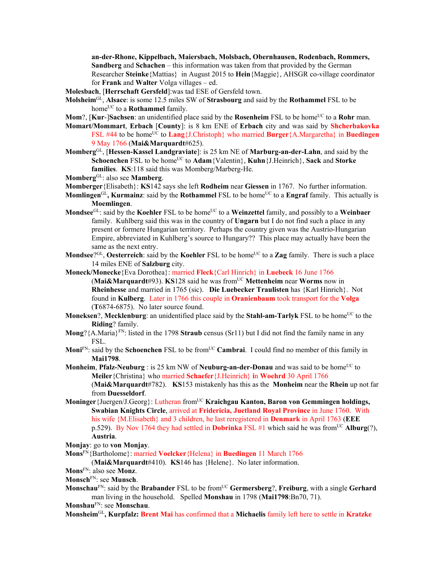**an-der-Rhone, Kippelbach, Maiersbach, Molsbach, Obernhausen, Rodenbach, Rommers, Sandberg** and **Schachen** – this information was taken from that provided by the German Researcher **Steinke**{Mattias} in August 2015 to **Hein**{Maggie}, AHSGR co-village coordinator for **Frank** and **Walter** Volga villages – ed.

**Molesbach**, [**Herrschaft Gersfeld**]:was tad ESE of Gersfeld town.

- **Molsheim**GL, **Alsace**: is some 12.5 miles SW of **Strasbourg** and said by the **Rothammel** FSL to be home<sup>UC</sup> to a **Rothammel** family.
- **Mom**?, **[Kur-]Sachsen**: an unidentified place said by the **Rosenheim** FSL to be home<sup>UC</sup> to a **Rohr** man.
- **Momart/Mommart**, **Erbach** [**County**]: is 8 km ENE of **Erbach** city and was said by **Shcherbakovka** FSL #44 to be home<sup>UC</sup> to **Lang**{J.Christoph} who married **Burger**{A.Margaretha} in **Buedingen** 9 May 1766 (**Mai&Marquardt**#625).
- **Momberg**GL, [**Hessen-Kassel Landgraviate**]: is 25 km NE of **Marburg-an-der-Lahn**, and said by the  $Schoenchen FSL to be home<sup>UC</sup> to **Adam**{Valentin}, **Kuhn**{J.Heinrich}, **Sack** and **Storke**$ **families**. **KS**:118 said this was Momberg/Marberg-He.

**Momberg**GL: also see **Mamberg**.

- **Momberger**{Elisabeth}: **KS**142 says she left **Rodheim** near **Giessen** in 1767. No further information.
- **Momlingen**<sup>GL</sup>, **Kurmainz**: said by the **Rothammel** FSL to be home<sup>UC</sup> to a **Engraf** family. This actually is **Moemlingen**.
- **Mondsee**<sup>GL</sup>: said by the **Koehler** FSL to be home<sup>UC</sup> to a **Weinzettel** family, and possibly to a **Weinbaer** family. Kuhlberg said this was in the country of **Ungarn** but I do not find such a place in any present or formere Hungarian territory. Perhaps the country given was the Austrio-Hungarian Empire, abbreviated in Kuhlberg's source to Hungary?? This place may actually have been the same as the next entry.
- **Mondsee**?<sup>GL</sup>, **Oesterreich**: said by the **Koehler** FSL to be home<sup>UC</sup> to a **Zag** family. There is such a place 14 miles ENE of **Salzburg** city.
- **Moneck/Monecke**{Eva Dorothea}: married **Fleck**{Carl Hinrich} in **Luebeck** 16 June 1766 (**Mai&Marquardt**#93). **KS**128 said he was fromUC **Mettenheim** near **Worms** now in **Rheinhesse** and married in 1765 (sic). **Die Luebecker Traulisten** has {Karl Hinrich}. Not found in **Kulberg**. Later in 1766 this couple in **Oranienbaum** took transport for the **Volga**  (**T**6874-6875). No later source found.
- **Moneksen**?, Mecklenburg: an unidentified place said by the Stahl-am-Tarlyk FSL to be home<sup>UC</sup> to the **Riding**? family.
- **Mong**?{A.Maria}<sup>FN</sup>: listed in the 1798 **Straub** census (Sr11) but I did not find the family name in any FSL.
- **Moni**<sup>FN</sup>: said by the **Schoenchen** FSL to be from<sup>UC</sup> **Cambrai**. I could find no member of this family in **Mai1798**.
- **Monheim, Pfalz-Neuburg** : is 25 km NW of **Neuburg-an-der-Donau** and was said to be home<sup>UC</sup> to **Meiler**{Christina} who married **Schaefer**{J.Heinrich} **i**n **Woehrd** 30 April 1766 (**Mai&Marquardt**#782). **KS**153 mistakenly has this as the **Monheim** near the **Rhein** up not far from **Duesseldorf**.
- **Moninger**{Juergen/J.Georg}: Lutheran from<sup>UC</sup> **Kraichgau Kanton, Baron von Gemmingen holdings, Swabian Knights Circle**, arrived at **Fridericia, Juetland Royal Province** in June 1760. With his wife {M.Elisabeth} and 3 children, he last reregistered in **Denmark** in April 1763 (**EEE** p.529). By Nov 1764 they had settled in **Dobrinka** FSL #1 which said he was from<sup>UC</sup> **Alburg**(?), **Austria**.
- **Monjay**: go to **von Monjay**.

**Mons**FN{Bartholome}: married **Voelcker**{Helena} in **Buedingen** 11 March 1766

(**Mai&Marquardt**#410). **KS**146 has {Helene}. No later information.

- **Mons**FN: also see **Monz**.
- **Monsch**FN: see **Munsch**.
- **Monschau**FN: said by the **Brabander** FSL to be fromUC **Germersberg**?, **Freiburg**, with a single **Gerhard** man living in the household. Spelled **Monshau** in 1798 (**Mai1798**:Bn70, 71).

**Monshau**FN: see **Monschau**.

**Monsheim**GL**, Kurpfalz: Brent Mai** has confirmed that a **Michaelis** family left here to settle in **Kratzke**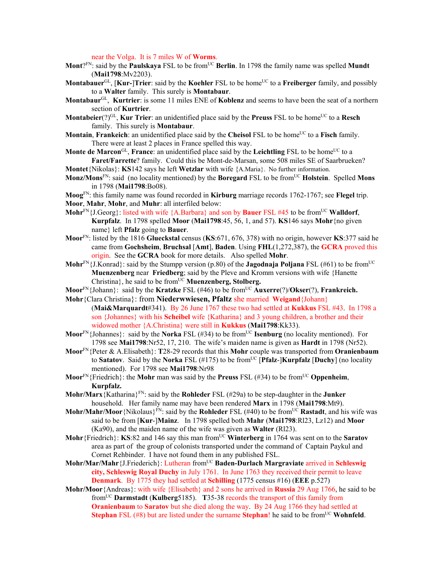near the Volga. It is 7 miles W of **Worms**.

- Mont?<sup>FN</sup>: said by the **Paulskaya** FSL to be from<sup>UC</sup> Berlin. In 1798 the family name was spelled Mundt (**Mai1798**:Mv2203).
- **Montabauer**<sup>GL</sup>, [**Kur-**]**Trier**: said by the **Koehler** FSL to be home<sup>UC</sup> to a **Freiberger** family, and possibly to a **Walter** family. This surely is **Montabaur**.
- **Montabaur**GL, **Kurtrier**: is some 11 miles ENE of **Koblenz** and seems to have been the seat of a northern section of **Kurtrier**.
- **Montabeier**(?)<sup>GL</sup>, **Kur Trier**: an unidentified place said by the **Preuss** FSL to be home<sup>UC</sup> to a **Resch** family. This surely is **Montabaur**.
- **Montain, Frankeich**: an unidentified place said by the **Cheisol** FSL to be home<sup>UC</sup> to a **Fisch** family. There were at least 2 places in France spelled this way.
- **Monte de Marcon**<sup>GL</sup>, **France**: an unidentified place said by the **Leichtling** FSL to be home<sup>UC</sup> to a **Faret/Farrette**? family. Could this be Mont-de-Marsan, some 508 miles SE of Saarbrueken?
- **Montet**{Nikolas}: **KS**142 says he left **Wetzlar** with wife {A.Maria}. No further information.
- **Monz/Mons**FN: said (no locality mentioned) by the **Boregard** FSL to be fromUC **Holstein**. Spelled **Mons** in 1798 (**Mai1798**:Bo08).
- **Moog**FN: this family name was found recorded in **Kirburg** marriage records 1762-1767; see **Flegel** trip. **Moor**, **Mahr**, **Mohr**, and **Muhr**: all interfiled below:
- Mohr<sup>FN</sup>{J.Georg}: listed with wife {A.Barbara} and son by **Bauer** FSL #45 to be from<sup>UC</sup> Walldorf, **Kurpfalz**. In 1798 spelled **Moor** (**Mai1798**:45, 56, 1, and 57). **KS**146 says **Mohr**{no given name} left **Pfalz** going to **Bauer**.
- **Moor**FN: listed by the 1816 **Glueckstal** census (**KS**:671, 676, 378) with no origin, however **KS**:377 said he came from **Gochsheim**, **Bruchsal** [**Amt**], **Baden**. Using **FHL**(1,272,387), the **GCRA** proved this origin. See the **GCRA** book for more details. Also spelled **Mohr**.
- **Mohr**<sup>FN</sup>{J.Konrad}: said by the Stumpp version (p.80) of the **Jagodnaja Poljana** FSL (#61) to be from<sup>UC</sup> **Muenzenberg** near **Friedberg**; said by the Pleve and Kromm versions with wife {Hanette Christina}, he said to be from<sup>UC</sup> Muenzenberg, Stolberg.
- **Moor**FN{Johann}: said by the **Kratzke** FSL (#46) to be fromUC **Auxerre**(?)/**Okser**(?), **Frankreich.**
- **Mohr**{Clara Christina}: from **Niederwwiesen, Pfaltz** she married **Weigand**{Johann} (**Mai&Marquardt**#341). By 26 June 1767 these two had settled at **Kukkus** FSL #43. In 1798 a son {Johannes} with his **Scheibel** wife {Katharina} and 3 young children, a brother and their widowed mother {A.Christina} were still in **Kukkus** (**Mai1798**:Kk33).
- **Moor**<sup>FN</sup>{Johannes}: said by the **Norka** FSL (#34) to be from<sup>UC</sup> **Isenburg** (no locality mentioned). For 1798 see **Mai1798**:Nr52, 17, 210. The wife's maiden name is given as **Hardt** in 1798 (Nr52).
- **Moor**FN{Peter & A.Elisabeth}: **T**28-29 records that this **Mohr** couple was transported from **Oranienbaum** to **Satatov**. Said by the **Norka** FSL (#175) to be fromUC [**Pfalz**-]**Kurpfalz** [**Duchy**] (no locality mentioned). For 1798 see **Mai1798**:Nr98
- **Moor**<sup>FN</sup>{Friedrich}: the **Mohr** man was said by the **Preuss** FSL (#34) to be from<sup>UC</sup> **Oppenheim**, **Kurpfalz.**
- **Mohr/Marx**{Katharina}FN: said by the **Rohleder** FSL (#29a) to be step-daughter in the **Junker** household. Her family name may have been rendered **Marx** in 1798 (**Mai1798**:Mt9).
- **Mohr/Mahr/Moor**{Nikolaus}<sup>FN</sup>: said by the **Rohleder** FSL (#40) to be from<sup>UC</sup> **Rastadt**, and his wife was said to be from [**Kur**-]**Mainz**.In 1798 spelled both **Mahr** (**Mai1798**:Rl23, Lz12) and **Moor**  (Ka90), and the maiden name of the wife was given as **Walter** (Rl23).
- **Mohr**{Friedrich}: **KS**:82 and 146 say this man from<sup>UC</sup> Winterberg in 1764 was sent on to the **Saratov** area as part of the group of colonists transported under the command of Captain Paykul and Cornet Rehbinder. I have not found them in any published FSL.
- Mohr/Mar/Mahr<sup>{J</sup>.Friederich}: Lutheran from<sup>UC</sup> Baden-Durlach Margraviate arrived in Schleswig **city, Schleswig Royal Duchy** in July 1761. In June 1763 they received their permit to leave **Denmark**. By 1775 they had settled at **Schilling** (1775 census #16) (**EEE** p.527)
- **Mohr/Moor**{Andreas}: with wife {Elisabeth} and 2 sons he arrived in **Russia** 29 Aug 1766, he said to be fromUC **Darmstadt** (**Kulberg**5185). **T**35-38 records the transport of this family from **Oranienbaum** to **Saratov** but she died along the way. By 24 Aug 1766 they had settled at **Stephan** FSL (#8) but are listed under the surname **Stephan**! he said to be from<sup>UC</sup> **Wohnfeld**.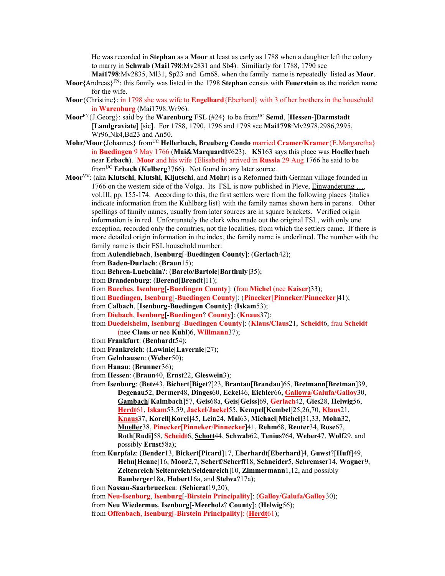He was recorded in **Stephan** as a **Moor** at least as early as 1788 when a daughter left the colony to marry in **Schwab** (**Mai1798**:Mv2831 and Sb4). Similiarly for 1788, 1790 see

- **Mai1798**:Mv2835, Ml31, Sp23 and Gm68. when the family name is repeatedly listed as **Moor**. **Moor{**Andreas}FN: this family was listed in the 1798 **Stephan** census with **Feuerstein** as the maiden name for the wife.
- **Moor**{Christine}: in 1798 she was wife to **Engelhard**{Eberhard} with 3 of her brothers in the household in **Warenburg** (Mai1798:Wr96).
- **Moor**FN{J.Georg}: said by the **Warenburg** FSL (#24} to be fromUC **Semd**, [**Hessen**-]**Darmstadt** [**Landgraviate**] [sic]. For 1788, 1790, 1796 and 1798 see **Mai1798**:Mv2978,2986,2995, Wr96,Nk4,Bd23 and An50.
- **Mohr/Moor**{Johannes} fromUC **Hellerbach, Breuberg Condo** married **Cramer/Kramer**{E.Margaretha} in **Buedingen** 9 May 1766 (**Mai&Marquardt**#623). **KS**163 says this place was **Hoellerbach**  near **Erbach**). **Moor** and his wife {Elisabeth} arrived in **Russia** 29 Aug 1766 he said to be fromUC **Erbach** (**Kulberg**3766). Not found in any later source.
- **Moor**VV: (aka **Klutschi**, **Klutshi**, **Kljutschi**, and **Mohr**) is a Reformed faith German village founded in 1766 on the western side of the Volga. Its FSL is now published in Pleve, Einwanderung …, vol.III, pp. 155-174. According to this, the first settlers were from the following places {italics indicate information from the Kuhlberg list} with the family names shown here in parens. Other spellings of family names, usually from later sources are in square brackets. Verified origin information is in red. Unfortunately the clerk who made out the original FSL, with only one exception, recorded only the countries, not the localities, from which the settlers came. If there is more detailed origin information in the index, the family name is underlined. The number with the family name is their FSL household number:
	- from **Aulendiebach**, **Isenburg**[-**Buedingen County**]: (**Gerlach**42);
	- from **Baden-Durlach**: (**Braun**15);
	- from **Behren-Luebchin**?: (**Barelo/Bartole**[**Barthuly**]35);
	- from **Brandenburg**: (**Berend**[**Brendt**]11);
	- from **Bueches**, **Isenburg**[-**Buedingen County**]: (frau **Michel** (nee **Kaiser**)33);
	- from **Buedingen**, **Isenburg**[-**Buedingen County**]: (**Pinecker**[**Pinneker**/**Pinnecker**]41);
	- from **Calbach**, [**Isenburg-Buedingen County**]: (**Iskam**53);
	- from **Diebach**, **Isenburg**[-**Buedingen**? **County**]: (**Knaus**37);
	- from **Duedelsheim**, **Isenburg**[-**Buedingen County**]: (**Klaus/Claus**21, **Scheidt**6, frau **Scheidt** (nee **Claus** or nee **Kuhl**)6, **Willmann**37);
	- from **Frankfurt**: (**Benhardt**54);
	- from **Frankreich**: (**Lawinie**[**Lavernie**]27);
	- from **Gelnhausen**: (**Weber**50);
	- from **Hanau**: (**Brunner**36);
	- from **Hessen**: (**Braun**40, **Ernst**22, **Gieswein**3);
	- from **Isenburg**: (**Betz**43, **Bichert**[**Biget**?]23, **Brantau**[**Brandau**]65, **Bretmann**[**Bretman**]39, **Degenau**52, **Dermer**48, **Dinges**60, **Eckel**46, **Eichler**66, **Gallowa**/**Galufa/Galloy**30, **Gambach**[**Kalmbach**]57, **Geis**68a, **Geis**[**Geiss**]69, **Gerlach**42, **Gies**28, **Helwig**56, **Herdt**61, **Iskam**53,59, **Jackel**/**Jaekel**55, **Kempel**[**Kembel**]25,26,70, **Klaus**21, **Knaus**37, **Korell**[**Korel**]45, **Lein**24, **Mai**63, **Michael**[**Michel**]31,33, **Mohn**32, **Mueller**38, **Pinecker**[**Pinneker**/**Pinnecker**]41, **Rehm**68, **Reuter**34, **Rose**67, **Roth**[**Rudi**]58, **Scheidt**6, **Schott**44, **Schwab**62, **Tenius**?64, **Weber**47, **Wolf**29, and possibly **Ernst**58a);
	- from **Kurpfalz**: (**Bender**13, **Bickert**[**Picard**]17, **Eberhardt**[**Eberhard**]4, **Guwst**?[**Huff**]49, **Hehn**[**Henne**]16, **Moor**2,7, **Scherf**/**Scherff**18, **Schneider**5, **Schremser**14, **Wagner**9, **Zeltenreich**[**Seltenreich**/**Seldenreich**]10, **Zimmermann**1,12, and possibly **Bamberger**18a, **Hubert**16a, and **Stelwa**?17a);
	- from **Nassau-Saarbruecken**: (**Schierat**19,20);

from **Neu-Isenburg**, **Isenburg**[-**Birstein Principality**]: (**Galloy**/**Galufa/Galloy**30);

- from **Neu Wiedermus**, **Isenburg**[-**Meerholz**? **County**]: (**Helwig**56);
- from **Offenbach**, **Isenburg**[-**Birstein Principality**]: (**Herdt**61);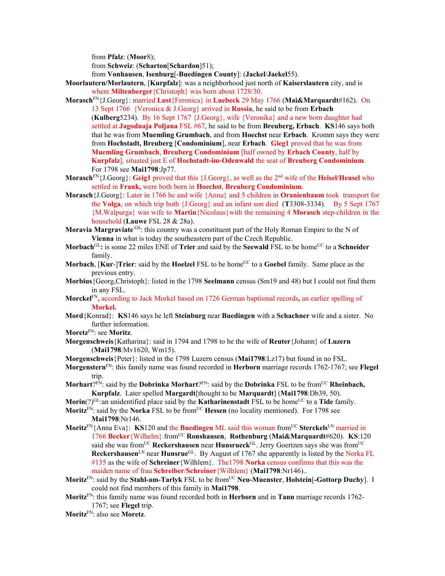from **Pfalz**: (**Moor**8);

from **Schweiz**: (**Scharton**[**Schardon**]51);

from **Vonhausen**, **Isenburg**[-**Buedingen County**]: (**Jackel**/**Jaekel**55).

- **Moorlautern/Morlautern**, [**Kurpfalz**]: was a neighborhood just north of **Kaiserslautern** city, and is where **Miltenberger**{Christoph} was born about 1728/30.
- **Morasch**FN{J.Georg}: married **Lust**{Feronica} in **Luebeck** 29 May 1766 (**Mai&Marquardt**#162). On 13 Sept 1766 {Veronica & J.Georg} arrived in **Russia**, he said to be from **Erbach**  (**Kulberg**5234). By 16 Sept 1767 {J.Georg}, wife {Veronika} and a new born daughter had settled at **Jagodnaja Poljana** FSL #67, he said to be from **Breuberg, Erbach**. **KS**146 says both that he was from **Muemling Grumbach**, and from **Hoechst** near **Erbach**.Kromm says they were from **Hochstadt, Breuberg** [**Condominium**], near **Erbach**. **Gieg1** proved that he was from **Muemling Grumbach**, **Breuberg Condominium** [half owned by **Erbach County**, half by **Kurpfalz**], situated just E of **Hochstadt-im-Odenwald** the seat of **Breuberg Condominium**. For 1798 see **Mai1798**:Jp77.
- **Morasch**FN{J.Georg}: **Geig1** proved that this {J.Georg}, as well as the 2nd wife of the **Heisel/Heusel** who settled in **Frank,** were both born in **Hoechst**, **Breuberg Condominium**.
- **Morasch**{J.Georg}: Later in 1766 he and wife {Anna} and 5 children in **Oranienbaum** took transport for the **Volga**, on which trip both {J.Georg} and an infant son died (**T**3308-3334). By 5 Sept 1767 {M.Walpurga} was wife to **Martin**{Nicolaus}with the remaining 4 **Morasch** step-children in the household (**Lauwe** FSL 28 & 28a).
- **Moravia Margraviate** GS: this country was a constituent part of the Holy Roman Empire to the N of **Vienna** in what is today the southeastern part of the Czech Republic.
- Morbach<sup>GL</sup>: is some 22 miles ENE of **Trier** and said by the **Seewald** FSL to be home<sup>UC</sup> to a **Schneider** family.
- **Morbach**, [Kur-]Trier: said by the Hoelzel FSL to be home<sup>UC</sup> to a Goebel family. Same place as the previous entry.
- **Morbius**{Georg,Christoph}: listed in the 1798 **Seelmann** census (Sm19 and 48) but I could not find them in any FSL.
- **Morckel**FN**,** according to Jack Morkel based on 1726 German baptismal records**,** an earlier spelling of **Morkel.**
- **Mord**{Konrad}: **KS**146 says he left **Steinburg** near **Buedingen** with a **Schachner** wife and a sister. No further information.

**Moretz**FN: see **Moritz**.

- **Morgenschweis**{Katharina}: said in 1794 and 1798 to be the wife of **Reuter**{Johann} of **Luzern** (**Mai1798**:Mv1620, Wm15).
- **Morgenschweis**{Peter}: listed in the 1798 Luzern census (**Mai1798**:Lz17) but found in no FSL.
- **Morgenstern**FN: this family name was found recorded in **Herborn** marriage records 1762-1767; see **Flegel** trip.
- **Morhart**?FN: said by the **Dobrinka Morhart**?FN: said by the **Dobrinka** FSL to be from<sup>UC</sup> **Rheinbach, Kurpfalz**. Later spelled **Margardt**[thought to be **Marquardt**] (**Mai1798**:Db39, 50).
- **Morin**(?)<sup>GL</sup>:an unidentified place said by the **Katharinenstadt** FSL to be home<sup>UC</sup> to a **Tide** family.
- **Moritz**<sup>FN</sup>: said by the **Norka** FSL to be from<sup>UC</sup> **Hessen** (no locality mentioned). For 1798 see **Mai1798**:Nr146.
- **Moritz**<sup>FN</sup>{Anna Eva}: **KS**120 and the **Buedingen** ML said this woman from<sup>UC</sup> Sterckels<sup>LN</sup> married in 1766 **Becker**{Wilhelm} fromUC **Ronshausen**, **Rothenburg** (**Mai&Marquardt**#620). **KS**:120 said she was from<sup>UC</sup> Reckershausen near Hunsrueck<sup>GL</sup>. Jerry Goertzen says she was from<sup>UC</sup> **Reckershausen**LN near **Hunsrue**GL. By August of 1767 she apparently is listed by the Norka FL #135 as the wife of **Schreiner**{Wilhlem}. The1798 **Norka** census confirms that this was the maiden name of frau **Schreiber**/**Schreiner**{Wilhlem} (**Mai1798**:Nr146)..
- **Moritz**<sup>FN</sup>: said by the **Stahl-am-Tarlyk** FSL to be from<sup>UC</sup> **Neu-Muenster**, **Holstein**[-**Gottorp Duchy**]. I could not find members of this family in **Mai1798**.
- **Moritz**FN: this family name was found recorded both in **Herborn** and in **Tann** marriage records 1762- 1767; see **Flegel** trip.

**Moritz**FN: also see **Moretz**.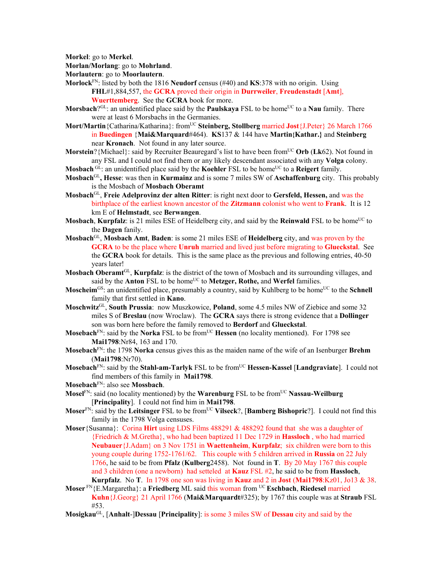**Morkel**: go to **Merkel**.

- **Morlan/Morlang**: go to **Mohrland**.
- **Morlautern**: go to **Moorlautern**.
- **Morlock**FN: listed by both the 1816 **Neudorf** census (#40) and **KS**:378 with no origin. Using **FHL**#1,884,557, the **GCRA** proved their origin in **Durrweiler**, **Freudenstadt** [**Amt**], **Wuerttemberg**. See the **GCRA** book for more.
- **Morsbach**?<sup>GL</sup>: an unidentified place said by the **Paulskaya** FSL to be home<sup>UC</sup> to a **Nau** family. There were at least 6 Morsbachs in the Germanies.
- Mort/Martin<sup>{Catharina/Katharina}: from<sup>UC</sup> Steinberg, Stollberg married **Jost**{J.Peter} 26 March 1766</sup> in **Buedingen** {**Mai&Marquard**#464). **KS**137 & 144 have **Martin{Kathar.}** and **Steinberg**  near **Kronach**.Not found in any later source.
- **Morstein**?{Michael}: said by Recruiter Beauregard's list to have been from<sup>UC</sup> Orb (Lk62). Not found in any FSL and I could not find them or any likely descendant associated with any **Volga** colony.
- **Mosbach** GL: an unidentified place said by the **Koehler** FSL to be home<sup>UC</sup> to a **Reigert** family.
- **Mosbach**GL**, Hesse**: was then in **Kurmainz** and is some 7 miles SW of **Aschaffenburg** city. This probably is the Mosbach of **Mosbach Oberamt**
- **Mosbach**GL, **Freie Adelprovinz der alten Ritter**: is right next door to **Gersfeld, Hessen,** and was the birthplace of the earliest known ancestor of the **Zitzmann** colonist who went to **Frank**. It is 12 km E of **Helmstadt**, see **Berwangen**.
- **Mosbach, Kurpfalz**: is 21 miles ESE of Heidelberg city, and said by the **Reinwald** FSL to be home<sup>UC</sup> to the **Dagen** fanily.
- **Mosbach**GL, **Mosbach Amt**, **Baden**: is some 21 miles ESE of **Heidelberg** city, and was proven by the **GCRA** to be the place where **Unruh** married and lived just before migrating to **Glueckstal**. See the **GCRA** book for details. This is the same place as the previous and following entries, 40-50 years later!
- **Mosbach Oberamt**GL, **Kurpfalz**: is the district of the town of Mosbach and its surrounding villages, and said by the **Anton** FSL to be home<sup>UC</sup> to **Metzger**, **Rothe**, and **Werfel** families.
- **Moscheim**<sup>GS</sup>: an unidentified place, presumably a country, said by Kuhlberg to be home<sup>UC</sup> to the **Schnell** family that first settled in **Kano**.
- **Moschwitz**GL, **South Prussia**: now Muszkowice, **Poland**, some 4.5 miles NW of Ziebice and some 32 miles S of **Breslau** (now Wroclaw). The **GCRA** says there is strong evidence that a **Dollinger** son was born here before the family removed to **Berdorf** and **Glueckstal**.
- **Mosebach**<sup>FN</sup>: said by the **Norka** FSL to be from<sup>UC</sup> **Hessen** (no locality mentioned). For 1798 see **Mai1798**:Nr84, 163 and 170.
- **Mosebach**FN: the 1798 **Norka** census gives this as the maiden name of the wife of an Isenburger **Brehm** (**Mai1798**:Nr70).
- **Mosebach**<sup>FN</sup>: said by the **Stahl-am-Tarlyk** FSL to be from<sup>UC</sup> **Hessen-Kassel** [Landgraviate]. I could not find members of this family in **Mai1798**.
- **Mosebach**FN: also see **Mossbach**.
- **Mosel**<sup>FN</sup>: said (no locality mentioned) by the **Warenburg** FSL to be from<sup>UC</sup> **Nassau-Weilburg** [**Principality**]. I could not find him in **Mai1798**.
- **Moser**FN: said by the **Leitsinger** FSL to be fromUC **Vilseck**?, [**Bamberg Bishopric**?]. I could not find this family in the 1798 Volga censuses.
- **Moser**{Susanna}: Corina **Hirt** using LDS Films 488291 & 488292 found that she was a daughter of {Friedrich & M.Gretha}, who had been baptized 11 Dec 1729 in **Hassloch** , who had married **Neubauer**{J.Adam} on 3 Nov 1751 in **Waettenheim**, **Kurpfalz**; six children were born to this young couple during 1752-1761/62. This couple with 5 children arrived in **Russia** on 22 July 1766, he said to be from **Pfalz** (**Kulberg**2458). Not found in **T**. By 20 May 1767 this couple and 3 children (one a newborn) had setteled at **Kauz** FSL #2, he said to be from **Hassloch**, **Kurpfalz**. No **T**. In 1798 one son was living in **Kauz** and 2 in **Jost** (**Mai1798**:Kz01, Jo13 & 38.
- **Moser** FN{E.Margaretha}: a **Friedberg** ML said this woman from UC **Eschbach**, **Riedesel** married **Kuhn**{J.Georg} 21 April 1766 (**Mai&Marquardt**#325); by 1767 this couple was at **Straub** FSL #53.
- **Mosigkau**GL, [**Anhalt**-]**Dessau** [**Principality**]: is some 3 miles SW of **Dessau** city and said by the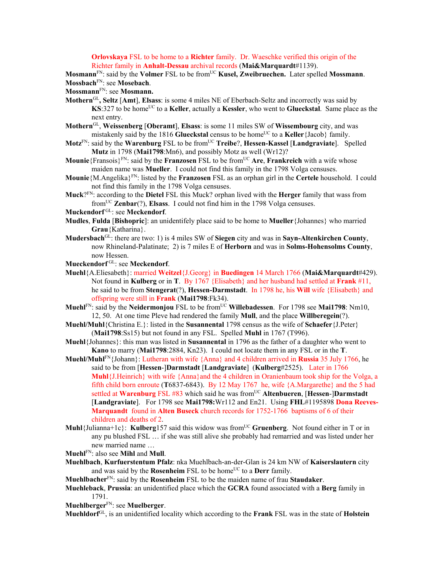**Orlovskaya** FSL to be home to a **Richter** family. Dr. Waeschke verified this origin of the Richter family in **Anhalt-Dessau** archival records (**Mai&Marquardt**#1139).

**Mosmann**<sup>FN</sup>: said by the **Volmer** FSL to be from<sup>UC</sup> **Kusel, Zweibruechen.** Later spelled **Mossmann**. **Mossbach**FN: see **Mosebach**.

**Mossmann**FN: see **Mosmann.**

- **Mothern**GL**, Seltz** [**Amt**], **Elsass**: is some 4 miles NE of Eberbach-Seltz and incorrectly was said by **KS**:327 to be home<sup>UC</sup> to a **Keller**, actually a **Kessler**, who went to **Glueckstal**. Same place as the next entry.
- **Mothern**GL, **Weissenberg** [**Oberamt**], **Elsass**: is some 11 miles SW of **Wissembourg** city, and was mistakenly said by the 1816 **Glueckstal** census to be home<sup>UC</sup> to a **Keller**{Jacob} family.
- **Motz**FN: said by the **Warenburg** FSL to be fromUC **Treibe**?, **Hessen-Kassel** [**Landgraviate**]. Spelled **Mutz** in 1798 (**Mai1798**:Mn6), and possibly Motz as well (Wr12)?
- **Mounie**{Fransois}<sup>FN</sup>: said by the **Franzosen** FSL to be from<sup>UC</sup> **Are**, **Frankreich** with a wife whose maiden name was **Mueller**. I could not find this family in the 1798 Volga censuses.
- **Mounie**{M.Angelika}FN: listed by the **Franzosen** FSL as an orphan girl in the **Certele** household. I could not find this family in the 1798 Volga censuses.
- **Muck**?FN: according to the **Dietel** FSL this Muck? orphan lived with the **Herger** family that wass from fromUC **Zenbar**(?), **Elsass**. I could not find him in the 1798 Volga censuses.
- **Muckendorf** GL: see **Meckendorf**.
- **Mudles**, **Fulda** [**Bishopric**]: an unidentifely place said to be home to **Mueller**{Johannes} who married **Grau**{Katharina}.
- **Mudersbach**GL: there are two: 1) is 4 miles SW of **Siegen** city and was in **Sayn-Altenkirchen County**, now Rhineland-Palatinate; 2) is 7 miles E of **Herborn** and was in **Solms-Hohensolms County**, now Hessen.
- **Mueckendorf** GL: see **Meckendorf**.
- **Muehl**{A.Eliesabeth}: married **Weitzel**{J.Georg} in **Buedingen** 14 March 1766 (**Mai&Marquardt**#429). Not found in **Kulberg** or in **T**. By 1767 {Elisabeth} and her husband had settled at **Frank** #11, he said to be from **Stengerat**(?), **Hessen-Darmstadt**. In 1798 he, his **Will** wife {Elisabeth} and offspring were still in **Frank** (**Mai1798**:Fk34).
- **Muehl**<sup>FN</sup>: said by the **Neidermonjou** FSL to be from<sup>UC</sup> **Willebadessen**. For 1798 see **Mai1798**: Nm10. 12, 50. At one time Pleve had rendered the family **Mull**, and the place **Willberegein**(?).
- **Muehl/Muhl**{Christina E.}: listed in the **Susannental** 1798 census as the wife of **Schaefer**{J.Peter} (**Mai1798**:Ss15) but not found in any FSL. Spelled **Muhl** in 1767 (T996).
- **Muehl**{Johannes}: this man was listed in **Susannental** in 1796 as the father of a daughter who went to **Kano** to marry (**Mai1798**:2884, Kn23). I could not locate them in any FSL or in the **T**.
- **Muehl/Muhl**FN{Johann}: Lutheran with wife {Anna} and 4 children arrived in **Russia** 35 July 1766, he said to be from [**Hessen**-]**Darmstadt** [**Landgraviate**] (**Kulberg**#2525). Later in 1766 **Muhl**{J.Heinrich} with wife {Anna}and the 4 children in Oranienbaum took ship for the Volga, a fifth child born enroute (**T**6837-6843). By 12 May 1767 he, wife {A.Margarethe} and the 5 had settled at **Warenburg** FSL #83 which said he was from<sup>UC</sup> Altenbueren, [Hessen-]Darmstadt [**Landgraviate**]. For 1798 see **Mai1798:**Wr112 and En21. Using **FHL**#1195898 **Dona Reeves-Marquandt** found in **Alten Buseck** church records for 1752-1766 baptisms of 6 of their children and deaths of 2.
- **Muhl**{Julianna+1c}: **Kulberg**157 said this widow was fromUC **Gruenberg**. Not found either in T or in any pu blushed FSL … if she was still alive she probably had remarried and was listed under her new married name …
- **Muehl**FN: also see **Mihl** and **Mull**.
- **Muehlbach**, **Kurfuerstentum Pfalz**: nka Muehlbach-an-der-Glan is 24 km NW of **Kaiserslautern** city and was said by the **Rosenheim** FSL to be home<sup>UC</sup> to a **Derr** family.
- **Muehlbacher**FN: said by the **Rosenheim** FSL to be the maiden name of frau **Staudaker**.
- **Muehleback**, **Prussia**: an unidentified place which the **GCRA** found associated with a **Berg** family in 1791.
- **Muehlberger**FN: see **Muelberger**.

**Muehldorf**GL, is an unidentified locality which according to the **Frank** FSL was in the state of **Holstein**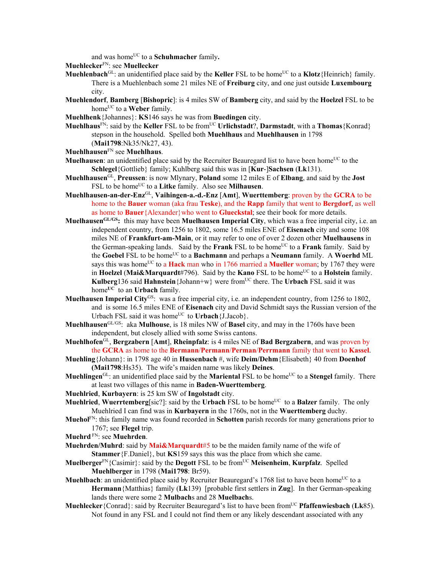and was home<sup>UC</sup> to a **Schuhmacher** family.

**Muehlecker**FN: see **Muellecker**

- **Muehlenbach**<sup>GL</sup>: an unidentified place said by the **Keller** FSL to be home<sup>UC</sup> to a **Klotz**{Heinrich} family. There is a Muehlenbach some 21 miles NE of **Freiburg** city, and one just outside **Luxembourg** city.
- **Muehlendorf**, **Bamberg** [**Bishopric**]: is 4 miles SW of **Bamberg** city, and said by the **Hoelzel** FSL to be home<sup>UC</sup> to a **Weber** family.
- **Muehlhenk**{Johannes}: **KS**146 says he was from **Buedingen** city.
- **Muehlhaus**<sup>FN</sup>: said by the **Keller** FSL to be from<sup>UC</sup> **Urlichstadt**?, **Darmstadt**, with a **Thomas**{Konrad} stepson in the household. Spelled both **Muehlhaus** and **Muehlhausen** in 1798 (**Mai1798**:Nk35/Nk27, 43).
- **Muehlhausen**FN see **Muehlhaus**.
- **Muelhausen**: an unidentified place said by the Recruiter Beauregard list to have been home<sup>UC</sup> to the **Schlegel**{Gottlieb} family; Kuhlberg said this was in [**Kur**-]**Sachsen** (**Lk**131).
- **Muehlhausen**GL, **Preussen**: is now Mlynary, **Poland** some 12 miles E of **Elbang**, and said by the **Jost** FSL to be home<sup>UC</sup> to a **Litke** family. Also see **Milhausen**.
- **Muehlhausen-an-der-Enz**GL, **Vaihingen-a.-d.-Enz** [**Amt**], **Wuerttemberg**: proven by the **GCRA** to be home to the **Bauer** woman (aka frau **Teske**), and the **Rapp** family that went to **Bergdorf**, as well as home to **Bauer** {Alexander} who went to **Glueckstal**; see their book for more details.
- **MuelhausenGL/GS:** this may have been **Muelhausen Imperial City**, which was a free imperial city, i.e. an independent country, from 1256 to 1802, some 16.5 miles ENE of **Eisenach** city and some 108 miles NE of **Frankfurt-am-Main**, or it may refer to one of over 2 dozen other **Muelhausens** in the German-speaking lands. Said by the **Frank** FSL to be home<sup>UC</sup> to a **Frank** family. Said by the **Goebel** FSL to be homeUC to a **Bachmann** and perhaps a **Neumann** family. A **Woerhd** ML says this was home<sup>UC</sup> to a **Hack** man who in 1766 married a **Mueller** woman; by 1767 they were in **Hoelzel (Mai&Marquardt**#796). Said by the **Kano** FSL to be home<sup>UC</sup> to a **Holstein** family. **Kulberg** 136 said **Hahnstein** {Johann+w} were from<sup>UC</sup> there. The **Urbach** FSL said it was home**UC** to an **Urbach** family.
- **Muelhausen Imperial City**GS: was a free imperial city, i.e. an independent country, from 1256 to 1802, and is some 16.5 miles ENE of **Eisenach** city and David Schmidt says the Russian version of the Urbach FSL said it was home<sup>UC</sup> to **Urbach**{J.Jacob}.
- **Muehlhausen**GL/GS: aka **Mulhouse**, is 18 miles NW of **Basel** city, and may in the 1760s have been independent, but closely allied with some Swiss cantons.
- **Muehlhofen**GL, **Bergzabern** [**Amt**], **Rheinpfalz**: is 4 miles NE of **Bad Bergzabern**, and was proven by the **GCRA** as home to the **Bermann**/**Permann**/**Perman**/**Perrmann** family that went to **Kassel**.
- **Muehling**{Johann}: in 1798 age 40 in **Hussenbach** #, wife **Deim/Dehm**{Elisabeth} 40 from **Doenhof (Mai1798**:Hs35). The wife's maiden name was likely **Deines**.
- **Muehlingen**<sup>GL</sup>: an unidentified place said by the **Mariental** FSL to be home<sup>UC</sup> to a **Stengel** family. There at least two villages of this name in **Baden-Wuerttemberg**.
- **Muehlried**, **Kurbayern**: is 25 km SW of **Ingolstadt** city.
- **Muehlried**, **Wuerrtemberg**[sic?]: said by the **Urbach** FSL to be home<sup>UC</sup> to a **Balzer** family. The only Muehlried I can find was in **Kurbayern** in the 1760s, not in the **Wuerttemberg** duchy.
- **Muehol**FN: this family name was found recorded in **Schotten** parish records for many generations prior to 1767; see **Flegel** trip.
- **Muehrd** FN: see **Muehrden**.
- **Muehrden/Muhrd**: said by **Mai&Marquardt**#5 to be the maiden family name of the wife of **Stammer**{F.Daniel}, but **KS**159 says this was the place from which she came.
- **Muelberger**<sup>FN</sup>{Casimir}: said by the **Degott** FSL to be from<sup>UC</sup> **Meisenheim, Kurpfalz**. Spelled **Muehlberger** in 1798 (**Mai1798**: Br59).
- **Muehlbach**: an unidentified place said by Recruiter Beauregard's 1768 list to have been home<sup>UC</sup> to a **Hermann**{Matthias} family (**Lk**139) [probable first settlers in **Zug**]. In ther German-speaking lands there were some 2 **Mulbach**s and 28 **Muelbach**s.
- **Muehlecker**{Conrad}: said by Recruiter Beauregard's list to have been fromUC **Pfaffenwiesbach** (**Lk**85). Not found in any FSL and I could not find them or any likely descendant associated with any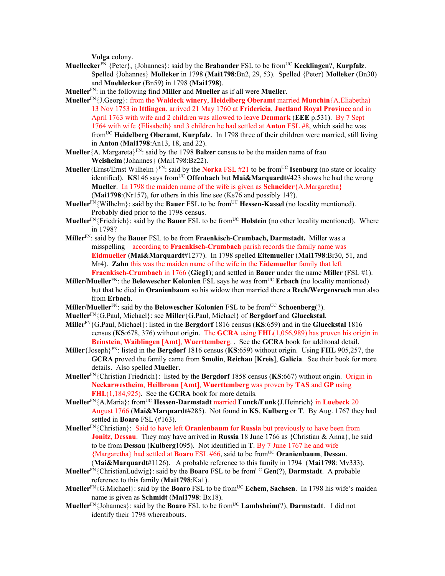**Volga** colony.

- **Muellecker**<sup>FN</sup> {Peter}, {Johannes}: said by the **Brabander** FSL to be from<sup>UC</sup> **Kecklingen**?, **Kurpfalz**. Spelled {Johannes} **Molleker** in 1798 (**Mai1798**:Bn2, 29, 53). Spelled {Peter} **Molleker** (Bn30) and **Muehlecker** (Bn59) in 1798 (**Mai1798**).
- **Mueller**FN: in the following find **Miller** and **Mueller** as if all were **Mueller**.
- **Mueller**FN{J.Georg}: from the **Waldeck winery**, **Heidelberg Oberamt** married **Munchin**{A.Eliabetha) 13 Nov 1753 in **Ittlingen**, arrived 21 May 1760 at **Fridericia**, **Juetland Royal Province** and in April 1763 with wife and 2 children was allowed to leave **Denmark** (**EEE** p.531). By 7 Sept 1764 with wife {Elisabeth} and 3 children he had settled at **Anton** FSL #8, which said he was fromUC **Heidelberg Oberamt**, **Kurpfalz**. In 1798 three of their children were married, still living in **Anton** (**Mai1798**:An13, 18, and 22).
- **Mueller**{A. Margareta}FN: said by the 1798 **Balzer** census to be the maiden name of frau **Weisheim**{Johannes} (Mai1798:Bz22).
- **Mueller** {Ernst/Ernst Wilhelm <sup>FN</sup>: said by the **Norka** FSL #21 to be from<sup>UC</sup> **Isenburg** (no state or locality identified). **KS**146 says from<sup>UC</sup> Offenbach but Mai&Marquardt#423 shows he had the wrong **Mueller**. In 1798 the maiden name of the wife is given as **Schneider**{A.Margaretha} (**Mai1798**:(Nr157), for others in this line see (Ks76 and possibly 14?).
- **Mueller**<sup>FN</sup>{Wilhelm}: said by the **Bauer** FSL to be from<sup>UC</sup> **Hessen-Kassel** (no locality mentioned). Probably died prior to the 1798 census.
- **Mueller**<sup>FN</sup>{Friedrich}: said by the **Bauer** FSL to be from<sup>UC</sup> **Holstein** (no other locality mentioned). Where in 1798?
- **Miller**FN: said by the **Bauer** FSL to be from **Fraenkisch-Crumbach, Darmstadt.** Miller was a misspelling – according to **Fraenkisch-Crumbach** parish records the family name was **Eidmueller** (**Mai&Marquardt**#1277). In 1798 spelled **Eitemueller** (**Mai1798**:Br30, 51, and Mr4). **Zahn** this was the maiden name of the wife in the **Eidemueller** family that left **Fraenkisch-Crumbach** in 1766 (**Gieg1**); and settled in **Bauer** under the name **Miller** (FSL #1).
- **Miller/Mueller**FN: the **Belowescher Kolonien** FSL says he was fromUC **Erbach** (no locality mentioned) but that he died in **Oranienbaum** so his widow then married there a **Rech/Wergensrech** man also from **Erbach**.
- **Miller/Mueller**<sup>FN</sup>: said by the **Belowescher Kolonien** FSL to be from<sup>UC</sup> **Schoenberg**(?).
- **Mueller**FN{G.Paul, Michael}: see **Miller**{G.Paul, Michael} of **Bergdorf** and **Glueckstal**.
- **Miller**FN{G.Paul, Michael}: listed in the **Bergdorf** 1816 census (**KS**:659) and in the **Glueckstal** 1816 census (**KS**:678, 376) without origin. The **GCRA** using **FHL**(1,056,989) has proven his origin in **Beinstein**, **Waiblingen** [**Amt**], **Wuerttemberg**. . See the **GCRA** book for additonal detail.
- **Miller**{Joseph}FN: listed in the **Bergdorf** 1816 census (**KS**:659) without origin. Using **FHL** 905,257, the **GCRA** proved the family came from **Smolin**, **Reichau** [**Kreis**], **Galicia**. See their book for more details. Also spelled **Mueller**.
- **Mueller**FN{Christian Friedrich}: listed by the **Bergdorf** 1858 census (**KS**:667) without origin. Origin in **Neckarwestheim**, **Heilbronn** [**Amt**], **Wuerttemberg** was proven by **TAS** and **GP** using **FHL**(1,184,925). See the **GCRA** book for more details.
- **Mueller**FN{A.Maria}: fromUC **Hessen-Darmstadt** married **Funck/Funk**{J.Heinrich} in **Luebeck** 20 August 1766 (**Mai&Marquardt**#285). Not found in **KS**, **Kulberg** or **T**. By Aug. 1767 they had settled in **Boaro** FSL (#163).
- **Mueller**FN{Christian}: Said to have left **Oranienbaum** for **Russia** but previously to have been from **Jonitz**, **Dessau**. They may have arrived in **Russia** 18 June 1766 as {Christian & Anna}, he said to be from **Dessau** (**Kulberg**1095). Not identified in **T**. By 7 June 1767 he and wife {Margaretha} had settled at **Boaro** FSL #66, said to be fromUC **Oranienbaum**, **Dessau**. (**Mai&Marquardt**#1126). A probable reference to this family in 1794 (**Mai1798**: Mv333).
- **Mueller**FN{ChristianLudwig}: said by the **Boaro** FSL to be fromUC **Gen**(?), **Darmstadt**. A probable reference to this family (**Mai1798**:Ka1).
- **Mueller**<sup>FN</sup>{G.Michael}: said by the **Boaro** FSL to be from<sup>UC</sup> **Echem**, **Sachsen**. In 1798 his wife's maiden name is given as **Schmidt** (**Mai1798**: Bx18).
- **Mueller**FN{Johannes}: said by the **Boaro** FSL to be fromUC **Lambsheim**(?), **Darmstadt**. I did not identify their 1798 whereabouts.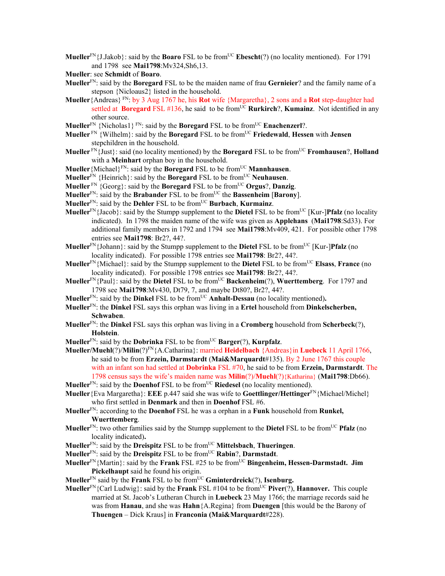- **Mueller**<sup>FN</sup>{J.Jakob}: said by the **Boaro** FSL to be from<sup>UC</sup> **Ebescht**(?) (no locality mentioned). For 1791 and 1798 see **Mai1798**:Mv324,Sh6,13.
- **Mueller**: see **Schmidt** of **Boaro**.
- **Mueller**FN: said by the **Boregard** FSL to be the maiden name of frau **Gernieier**? and the family name of a stepson {Nicloaus2} listed in the household.
- **Mueller**{Andreas} FN: by 3 Aug 1767 he, his **Rot** wife {Margaretha}, 2 sons and a **Rot** step-daughter had settled at **Boregard** FSL #136, he said to be from<sup>UC</sup> **Rurkirch**?, **Kumainz**. Not identified in any other source.
- **Mueller**<sup>FN</sup> {Nicholas1} FN: said by the **Boregard** FSL to be from<sup>UC</sup> **Enachenzerl**?.
- **Mueller**<sup>FN</sup> {Wilhelm}: said by the **Boregard** FSL to be from<sup>UC</sup> **Friedewald**, **Hessen** with **Jensen** stepchildren in the household.
- **Mueller** FN{Just}: said (no locality mentioned) by the **Boregard** FSL to be fromUC **Fromhausen**?, **Holland** with a **Meinhart** orphan boy in the household.
- **Mueller** {Michael}<sup>FN</sup>: said by the **Boregard** FSL to be from<sup>UC</sup> **Mannhausen**.
- **Mueller**<sup>FN</sup> {Heinrich}: said by the **Boregard** FSL to be from<sup>UC</sup> **Neuhausen**.
- **Mueller**  $\text{FN}$  {Georg}: said by the **Boregard** FSL to be from<sup>UC</sup> **Orgus**?, **Danzig**.
- **Mueller**<sup>FN</sup>: said by the **Brabander** FSL to be from<sup>UC</sup> the **Bassenheim** [**Barony**].
- **Mueller**FN: said by the **Dehler** FSL to be fromUC **Burbach**, **Kurmainz**.
- **Mueller**<sup>FN</sup>{Jacob}: said by the Stumpp supplement to the **Dietel** FSL to be from<sup>UC</sup> [Kur-]**Pfalz** (no locality indicated). In 1798 the maiden name of the wife was given as **Applehans** (**Mai1798**:Sd33). For additional family members in 1792 and 1794 see **Mai1798**:Mv409, 421. For possible other 1798 entries see **Mai1798**: Br2?, 44?.
- **Mueller**<sup>FN</sup>{Johann}: said by the Stumpp supplement to the **Dietel** FSL to be from<sup>UC</sup> [Kur-]**Pfalz** (no locality indicated). For possible 1798 entries see **Mai1798**: Br2?, 44?.
- **Mueller**FN{Michael}: said by the Stumpp supplement to the **Dietel** FSL to be fromUC **Elsass**, **France** (no locality indicated). For possible 1798 entries see **Mai1798**: Br2?, 44?.
- **Mueller**<sup>FN</sup>{Paul}: said by the **Dietel** FSL to be from<sup>UC</sup> **Backenheim**(?), **Wuerttemberg**. For 1797 and 1798 see **Mai1798**:Mv430, Dt79, 7, and maybe Dt80?, Br2?, 44?.
- **Mueller**<sup>FN</sup>: said by the **Dinkel** FSL to be from<sup>UC</sup> **Anhalt-Dessau** (no locality mentioned).
- **Mueller**FN: the **Dinkel** FSL says this orphan was living in a **Ertel** household from **Dinkelscherben, Schwaben**.
- **Mueller**FN: the **Dinkel** FSL says this orphan was living in a **Cromberg** household from **Scherbeck**(?), **Holstein**.
- **Mueller**<sup>FN</sup>: said by the **Dobrinka** FSL to be from<sup>UC</sup> **Barger**(?), **Kurpfalz**.
- **Mueller/Muehl**(?)/**Milin**(?)FN{A.Catharina}: married **Heidelbach** {Andreas}in **Luebeck** 11 April 1766, he said to be from **Erzein, Darmstardt** (**Mai&Marquardt**#135). By 2 June 1767 this couple with an infant son had settled at **Dobrinka** FSL #70, he said to be from **Erzein, Darmstardt**. The 1798 census says the wife's maiden name was **Milin**(?)/**Muehl**(?){Katharina} (**Mai1798**:Db66).
- **Mueller**<sup>FN</sup>: said by the **Doenhof** FSL to be from<sup>UC</sup> **Riedesel** (no locality mentioned).
- **Mueller**{Eva Margaretha}: **EEE** p.447 said she was wife to **Goettlinger/Hettinger**FN{Michael/Michel} who first settled in **Denmark** and then in **Doenhof** FSL #6.
- **Mueller**FN: according to the **Doenhof** FSL he was a orphan in a **Funk** household from **Runkel, Wuerttemberg**.
- **Mueller**FN: two other families said by the Stumpp supplement to the **Dietel** FSL to be fromUC **Pfalz** (no locality indicated)**.**
- **Mueller**FN: said by the **Dreispitz** FSL to be fromUC **Mittelsbach**, **Thueringen**.
- **Mueller**FN: said by the **Dreispitz** FSL to be fromUC **Rabin**?, **Darmstadt**.
- **Mueller**<sup>FN</sup>{Martin}: said by the **Frank** FSL #25 to be from<sup>UC</sup> **Bingenheim, Hessen-Darmstadt. Jim Pickelhaupt** said he found his origin.
- **Mueller**FN said by the **Frank** FSL to be fromUC **Gminterdreick**(?), **Isenburg.**
- **Mueller**FN{Carl Ludwig}: said by the **Frank** FSL #104 to be fromUC **Piver**(?), **Hannover.** This couple married at St. Jacob's Lutheran Church in **Luebeck** 23 May 1766; the marriage records said he was from **Hanau**, and she was **Hahn**{A.Regina} from **Duengen** [this would be the Barony of **Thuengen** – Dick Kraus] in **Franconia (Mai&Marquardt**#228).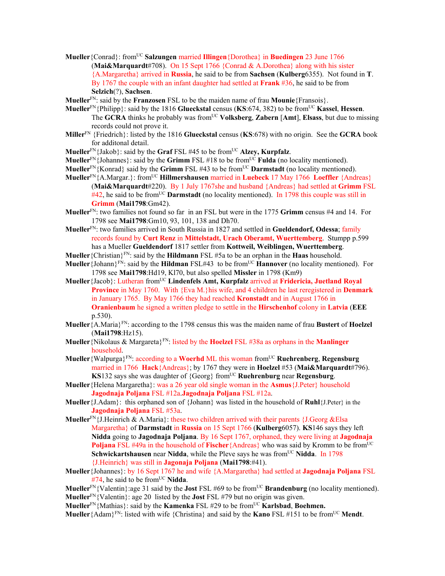**Mueller**{Conrad}: fromUC **Salzungen** married **Illingen**{Dorothea} in **Buedingen** 23 June 1766 (**Mai&Marquardt**#708). On 15 Sept 1766 {Conrad & A.Dorothea} along with his sister {A.Margaretha} arrived in **Russia**, he said to be from **Sachsen** (**Kulberg**6355). Not found in **T**. By 1767 the couple with an infant daughter had settled at **Frank** #36, he said to be from **Selzich**(?), **Sachsen**.

**Mueller**FN: said by the **Franzosen** FSL to be the maiden name of frau **Mounie**{Fransois}.

- **Mueller**<sup>FN</sup>{Philipp}: said by the 1816 **Glueckstal** census (**KS**:674, 382) to be from<sup>UC</sup> **Kassel**, **Hessen**. The **GCRA** thinks he probably was from<sup>UC</sup> **Volksberg**, **Zabern** [Amt], **Elsass**, but due to missing records could not prove it.
- **Miller**FN {Friedrich}: listed by the 1816 **Glueckstal** census (**KS**:678) with no origin. See the **GCRA** book for additonal detail.
- **Mueller**FN{Jakob}: said by the **Graf** FSL #45 to be fromUC **Alzey, Kurpfalz**.
- **Mueller**<sup>FN</sup>{Johannes}: said by the **Grimm** FSL #18 to be from<sup>UC</sup> **Fulda** (no locality mentioned).
- **Mueller**<sup>FN</sup>{Konrad} said by the **Grimm** FSL #43 to be from<sup>UC</sup> **Darmstadt** (no locality mentioned).
- **Mueller**<sup>FN</sup>{A.Margar.}: from<sup>UC</sup> **Hillmershausen** married in **Luebeck** 17 May 1766 **Loeffler** {Andreas} (**Mai&Marquardt**#220). By 1 July 1767she and husband {Andreas} had settled at **Grimm** FSL #42, he said to be fromUC **Darmstadt** (no locality mentioned). In 1798 this couple was still in **Grimm** (**Mai1798**:Gm42).
- **Mueller**FN: two families not found so far in an FSL but were in the 1775 **Grimm** census #4 and 14. For 1798 see **Mai1798**:Gm10, 93, 101, 138 and Dh70.
- **Mueller**FN: two families arrived in South Russia in 1827 and settled in **Gueldendorf, Odessa**; family records found by **Curt Renz** in **Mittelstadt, Urach Oberamt, Wuerttemberg**. Stumpp p.599 has a Mueller **Gueldendorf** 1817 settler from **Kottweil, Weiblingen, Wuerttemberg**.

**Mueller** {Christian}<sup>FN</sup>: said by the **Hildmann** FSL #5a to be an orphan in the **Haas** household.

- **Mueller** {Johann}<sup>FN</sup>: said by the **Hildman** FSL#43 to be from<sup>UC</sup> **Hannover** (no locality mentioned). For 1798 see **Mai1798**:Hd19, Kl70, but also spelled **Missler** in 1798 (Km9)
- **Mueller**{Jacob}: Lutheran fromUC **Lindenfels Amt, Kurpfalz** arrived at **Fridericia, Juetland Royal Province** in May 1760. With {Eva M.}his wife, and 4 children he last reregistered in **Denmark** in January 1765. By May 1766 they had reached **Kronstadt** and in August 1766 in **Oranienbaum** he signed a written pledge to settle in the **Hirschenhof** colony in **Latvia** (**EEE** p.530).
- **Mueller**{A.Maria}FN: according to the 1798 census this was the maiden name of frau **Bustert** of **Hoelzel** (**Mai1798**:Hz15).
- **Mueller** {Nikolaus & Margareta}<sup>FN</sup>: listed by the **Hoelzel** FSL #38a as orphans in the **Manlinger** household.
- **Mueller**{Walpurga}FN: according to a **Woerhd** ML this woman fromUC **Ruehrenberg**, **Regensburg** married in 1766 **Hack**{Andreas}; by 1767 they were in **Hoelzel** #53 (**Mai&Marquardt**#796). **KS**132 says she was daughter of {Georg} from<sup>UC</sup> **Ruehrenburg** near **Regensburg**.
- **Mueller**{Helena Margaretha}: was a 26 year old single woman in the **Asmus**{J.Peter} household **Jagodnaja Poljana** FSL #12a.**Jagodnaja Poljana** FSL #12a.
- **Mueller**{J.Adam}: this orphaned son of {Johann} was listed in the household of **Ruhl**{J.Peter} in the **Jagodnaja Poljana** FSL #53a.
- Mueller<sup>FN</sup>{J.Heinrich & A.Maria}: these two children arrived with their parents {J.Georg &Elsa Margaretha} of **Darmstadt** in **Russia** on 15 Sept 1766 (**Kulberg**6057). **KS**146 says they left **Nidda** going to **Jagodnaja Poljana**. By 16 Sept 1767, orphaned, they were living at **Jagodnaja Poljana** FSL #49a in the household of **Fischer**{Andreas} who was said by Kromm to be from<sup>UC</sup> **Schwickartshausen** near **Nidda**, while the Pleve says he was from<sup>UC</sup> **Nidda**. In 1798 {J.Heinrich} was still in **Jagonaja Poljana** (**Mai1798**:#41).
- **Mueller**{Johannes}: by 16 Sept 1767 he and wife {A.Margaretha} had settled at **Jagodnaja Poljana** FSL  $#74$ , he said to be from<sup>UC</sup> Nidda.
- **Mueller**<sup>FN</sup>{Valentin}:age 31 said by the **Jost** FSL #69 to be from<sup>UC</sup> **Brandenburg** (no locality mentioned). **Mueller**FN{Valentin}: age 20 listed by the **Jost** FSL #79 but no origin was given.
- **Mueller**<sup>FN</sup>{Mathias}: said by the **Kamenka** FSL #29 to be from<sup>UC</sup> **Karlsbad, Boehmen.**

**Mueller** {Adam}<sup>FN</sup>: listed with wife {Christina} and said by the **Kano** FSL #151 to be from<sup>UC</sup> **Mendt**.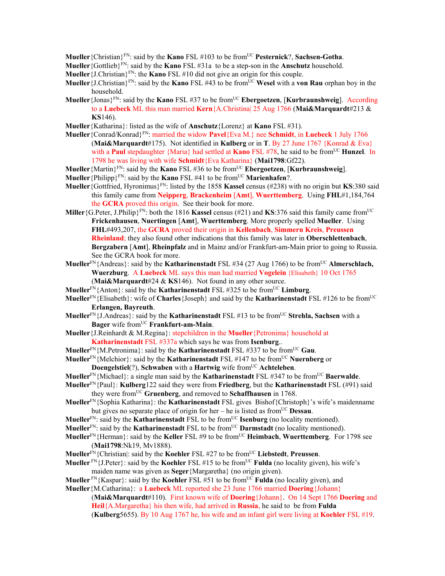**Mueller**{Christian}FN: said by the **Kano** FSL #103 to be fromUC **Pesternick**?, **Sachsen-Gotha**.

- **Mueller**{Gottlieb}FN: said by the **Kano** FSL #31a to be a step-son in the **Anschutz** household.
- **Mueller** {J.Christian}<sup>FN</sup>: the **Kano** FSL #10 did not give an origin for this couple.
- **Mueller** {J.Christian}<sup>FN</sup>: said by the **Kano** FSL #43 to be from<sup>UC</sup> **Wesel** with a **von Rau** orphan boy in the household.
- **Mueller**{Jonas}FN: said by the **Kano** FSL #37 to be fromUC **Ebergoetzen**, [**Kurbraunshweig**]. According to a **Luebeck** ML this man married **Kern**{A.Christina| 25 Aug 1766 (**Mai&Marquardt**#213 & **KS**146).
- **Mueller**{Katharina}: listed as the wife of **Anschutz**{Lorenz} at **Kano** FSL #31).
- **Mueller**{Conrad/Konrad}FN: married the widow **Pavel**{Eva M.} nee **Schmidt**, in **Luebeck** 1 July 1766 (**Mai&Marquardt**#175). Not identified in **Kulberg** or in **T**. By 27 June 1767 {Konrad & Eva} with a **Paul** stepdaughter {Maria} had settled at **Kano** FSL #78, he said to be from<sup>UC</sup> **Hunzel**. In 1798 he was living with wife **Schmidt**{Eva Katharina} (**Mai1798**:Gf22).
- **Mueller**{Martin}FN: said by the **Kano** FSL #36 to be fromUC **Ebergoetzen**, [**Kurbraunshweig**].
- **Mueller** {Philipp}<sup>FN</sup>: said by the **Kano** FSL #41 to be from<sup>UC</sup> **Marienhafen**?.
- **Mueller**{Gottfried, Hyronimus}FN: listed by the 1858 **Kassel** census (#238) with no origin but **KS**:380 said this family came from **Neipperg**, **Brackenheim** [**Amt**], **Wuerttemberg**. Using **FHL**#1,184,764 the **GCRA** proved this origin. See their book for more.
- **Miller** {G.Peter, J.Philip}<sup>FN</sup>: both the 1816 **Kassel** census (#21) and **KS**:376 said this family came from<sup>UC</sup> **Frickenhausen**, **Nuertingen** [**Amt**], **Wuerttemberg**. More properly spelled **Mueller**. Using **FHL**#493,207, the **GCRA** proved their origin in **Kellenbach**, **Simmern Kreis**, **Preussen Rheinland**; they also found other indications that this family was later in **Oberschlettenbach**, **Bergzabern** [**Amt**], **Rheinpfalz** and in Mainz and/or Frankfurt-am-Main prior to going to Russia. See the GCRA book for more.
- **Mueller**<sup>FN</sup>{Andreas}: said by the **Katharinenstadt** FSL #34 (27 Aug 1766) to be from<sup>UC</sup> **Almerschlach, Wuerzburg**. A **Luebeck** ML says this man had married **Vogelein** {Elisabeth} 10 Oct 1765 (**Mai&Marquardt**#24 & **KS**146). Not found in any other source.
- **Mueller**<sup>FN</sup>{Anton}: said by the **Katharinenstadt** FSL #325 to be from<sup>UC</sup> Limburg.
- **Mueller**FN{Elisabeth}: wife of **Charles**{Joseph} and said by the **Katharinenstadt** FSL #126 to be fromUC **Erlangen, Bayreuth**.
- **Mueller**<sup>FN</sup>{J.Andreas}: said by the **Katharinenstadt** FSL #13 to be from<sup>UC</sup> **Strehla, Sachsen** with a Bager wife from<sup>UC</sup> **Frankfurt-am-Main**.
- **Mueller**{J.Reinhardt & M.Regina}: stepchildren in the **Mueller**{Petronima} household at **Katharinenstadt** FSL #337a which says he was from **Isenburg**..
- **Mueller**<sup>FN</sup>{M.Petronima}: said by the **Katharinenstadt** FSL #337 to be from<sup>UC</sup> Gau.
- **Mueller**<sup>FN</sup>{Melchior}: said by the **Katharinenstadt** FSL #147 to be from<sup>UC</sup> **Nuernberg** or **Doengelstiel**(?), **Schwaben** with a **Hartwig** wife from<sup>UC</sup> **Achteleben**.
- **Mueller**<sup>FN</sup>{Michael}: a single man said by the **Katharinenstadt** FSL #347 to be from<sup>UC</sup> **Baerwalde**.
- **Mueller**FN{Paul}: **Kulberg**122 said they were from **Friedberg**, but the **Katharinenstadt** FSL (#91) said they were fromUC **Gruenberg**, and removed to **Schaffhausen** in 1768.
- **Mueller**FN{Sophia Katharina}: the **Katharinenstadt** FSL gives Bishof{Christoph}'s wife's maidenname but gives no separate place of origin for her – he is listed as from<sup>UC</sup> **Dessau**.
- **Mueller**<sup>FN</sup>: said by the **Katharinenstadt** FSL to be from<sup>UC</sup> **Isenburg** (no locality mentioned).
- **Mueller**<sup>FN</sup>: said by the **Katharinenstadt** FSL to be from<sup>UC</sup> **Darmstadt** (no locality mentioned).
- **Mueller**FN{Herman}: said by the **Keller** FSL #9 to be fromUC **Heimbach**, **Wuerttemberg**. For 1798 see (**Mai1798**:Nk19, Mv1888).
- **Mueller**FN{Christian|: said by the **Koehler** FSL #27 to be fromUC **Liebstedt**, **Preussen**.
- **Mueller**  $\text{FN}_{1}$ [J.Peter}: said by the **Koehler** FSL #15 to be from<sup>UC</sup> **Fulda** (no locality given), his wife's maiden name was given as **Seger**{Margaretha} (no origin given).
- **Mueller**<sup>FN</sup>{Kaspar}: said by the **Koehler** FSL #51 to be from<sup>UC</sup> **Fulda** (no locality given), and
- **Mueller**{M.Catharina}: a **Luebeck** ML reported she 23 June 1766 married **Doering**{Johann} (**Mai&Marquardt**#110). First known wife of **Doering**{Johann}. On 14 Sept 1766 **Doering** and

**Heil**{A.Margaretha} his then wife, had arrived in **Russia**, he said to be from **Fulda** 

(**Kulberg**5655). By 10 Aug 1767 he, his wife and an infant girl were living at **Koehler** FSL #19.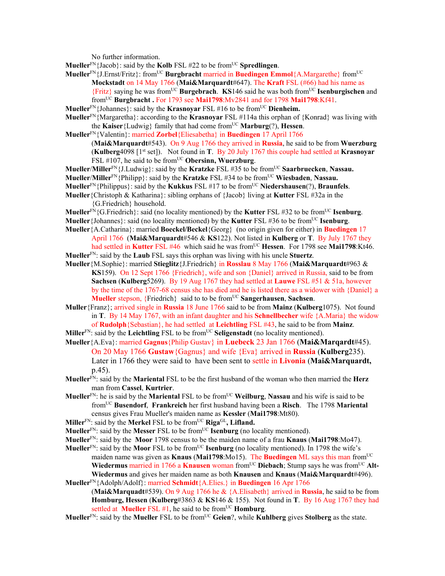No further information.

- **Mueller**<sup>FN</sup>{Jacob}: said by the **Kolb** FSL #22 to be from<sup>UC</sup> **Spredlingen**.
- **Mueller**FN{J.Ernst/Fritz}: fromUC **Burgbracht** married in **Buedingen Emmol**{A.Margarethe} fromUC **Mockstadt** on 14 May 1766 (**Mai&Marquardt**#647). The **Kraft** FSL (#66) had his name as {Fritz} saying he was fromUC **Burgebrach**. **KS**146 said he was both fromUC **Isenburgischen** and fromUC **Burgbracht .** For 1793 see **Mai1798**:Mv2841 and for 1798 **Mai1798**:Kf41.
- **Mueller**<sup>FN</sup>{Johannes}: said by the **Krasnoyar** FSL #16 to be from<sup>UC</sup> Dienheim.
- **Mueller**FN{Margaretha}: according to the **Krasnoyar** FSL #114a this orphan of {Konrad} was living with the **Kaiser**{Ludwig} family that had come from<sup>UC</sup> **Marburg**(?), **Hessen**.
- **Mueller**FN{Valentin}: married **Zorbel**{Eliesabetha} in **Buedingen** 17 April 1766 (**Mai&Marquardt**#543). On 9 Aug 1766 they arrived in **Russia**, he said to be from **Wuerzburg**  (**Kulberg**4098 [1st set]). Not found in **T**. By 20 July 1767 this couple had settled at **Krasnoyar** FSL #107, he said to be from<sup>UC</sup> Obersinn, Wuerzburg.
- **Mueller**/**Miller**FN{J.Ludwig}: said by the **Kratzke** FSL #35 to be fromUC **Saarbruecken**, **Nassau.**
- **Mueller**/**Miller**FN{Philipp}: said by the **Kratzke** FSL #34 to be fromUC **Wiesbaden**, **Nassau.**
- **Mueller**FN{Philippus}: said by the **Kukkus** FSL #17 to be fromUC **Niedershausen**(?), **Braunfels**.
- **Mueller**{Christoph & Katharina}: sibling orphans of {Jacob} living at **Kutter** FSL #32a in the {G.Friedrich} household.
- **Mueller**<sup>FN</sup>{G.Friedrich}: said (no locality mentioned) by the **Kutter** FSL #32 to be from<sup>UC</sup> **Isenburg**.
- **Mueller** {Johannes}: said (no locality mentioned) by the **Kutter** FSL #36 to be from<sup>UC</sup> **Isenburg**.
- **Mueller**{A.Catharina}: married **Boeckel/Beckel**{Georg} (no origin given for either) in **Buedingen** 17 April 1766(**Mai&Marquardt**#546 & **KS**122). Not listed in **Kulberg** or **T**. By July 1767 they had settled in **Kutter** FSL #46 which said he was from<sup>UC</sup> Hessen. For 1798 see Mai1798:Kt46. **Mueller**FN: said by the **Laub** FSL says this orphan was living with his uncle **Stuertz**.
- **Mueller**{M.Sophie}: married **Stieglitz**{J.Friedrich} in **Rosslau** 8 May 1766 (**Mai&Marquardt**#963 & **KS**159). On 12 Sept 1766 {Friedrich}, wife and son {Daniel} arrived in Russia, said to be from **Sachsen** (**Kulberg**5269). By 19 Aug 1767 they had settled at **Lauwe** FSL #51 & 51a, however by the time of the 1767-68 census she has died and he is listed there as a widower with {Daniel} a **Mueller** stepson, {Friedrich} said to to be from<sup>UC</sup> **Sangerhausen**, **Sachsen**.
- **Muller**{Franz}; arrived single in **Russia** 18 June 1766 said to be from **Mainz** (**Kulberg**1075). Not found in **T**. By 14 May 1767, with an infant daughter and his **Schnellbecher** wife {A.Maria} the widow of **Rudolph**{Sebastian}, he had settled at **Leichtling** FSL #43, he said to be from **Mainz**.
- **Miller**<sup>FN</sup>: said by the **Leichtling** FSL to be from<sup>UC</sup> Seligenstadt (no locality mentioned).
- **Mueller**{A.Eva}: married **Gagnus**{Philip Gustav} in **Luebeck** 23 Jan 1766 (**Mai&Marqardt**#45). On 20 May 1766 **Gustaw**{Gagnus} and wife {Eva} arrived in **Russia** (**Kulberg**235). Later in 1766 they were said to have been sent to settle in **Livonia** (**Mai&Marquardt,**  p.45).
- **Mueller**FN: said by the **Mariental** FSL to be the first husband of the woman who then married the **Herz** man from **Cassel**, **Kurtrier**.
- **Mueller**<sup>FN</sup>: he is said by the **Mariental** FSL to be from<sup>UC</sup> **Weilburg**, **Nassau** and his wife is said to be fromUC **Busendorf**, **Frankreich** her first husband having been a **Risch**. The 1798 **Mariental** census gives Frau Mueller's maiden name as **Kessler** (**Mai1798**:Mt80).
- Miller<sup>FN</sup>: said by the Merkel FSL to be from<sup>UC</sup> Riga<sup>GL</sup>, Lifland.
- **Mueller**<sup>FN</sup>: said by the **Messer** FSL to be from<sup>UC</sup> **Isenburg** (no locality mentioned).
- **Mueller**FN: said by the **Moor** 1798 census to be the maiden name of a frau **Knaus** (**Mai1798**:Mo47).
- **Mueller**<sup>FN</sup>: said by the **Moor** FSL to be from<sup>UC</sup> **Isenburg** (no locality mentioned). In 1798 the wife's maiden name was given as **Knaus** (Mai1798:Mo15). The **Buedingen** ML says this man from<sup>UC</sup> **Wiedermus** married in 1766 a **Knausen** woman from<sup>UC</sup> Diebach; Stump says he was from<sup>UC</sup> Alt-**Wiedermus** and gives her maiden name as both **Knausen** and **Knaus** (**Mai&Marquardt**#496). **Mueller**FN{Adolph/Adolf}: married **Schmidt**{A.Elies.} in **Buedingen** 16 Apr 1766
- (**Mai&Marquadt**#539). On 9 Aug 1766 he & {A.Elisabeth} arrived in **Russia**, he said to be from **Homburg, Hessen** (**Kulberg**#3863 & **KS**146 & 155). Not found in **T**.By 16 Aug 1767 they had settled at **Mueller** FSL  $#1$ , he said to be from<sup>UC</sup> **Homburg**.
- **Mueller**FN: said by the **Mueller** FSL to be fromUC **Geien**?, while **Kuhlberg** gives **Stolberg** as the state.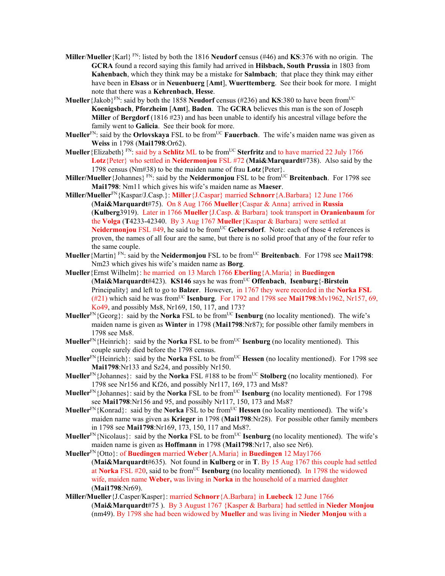- **Miller**/**Mueller**{Karl} FN: listed by both the 1816 **Neudorf** census (#46) and **KS**:376 with no origin. The **GCRA** found a record saying this family had arrived in **Hilsbach, South Prussia** in 1803 from **Kahenbach**, which they think may be a mistake for **Salmbach**; that place they think may either have been in **Elsass** or in **Neuenbuerg** [**Amt**], **Wuerttemberg**. See their book for more. I might note that there was a **Kehrenbach**, **Hesse**.
- **Mueller** {Jakob}<sup>FN</sup>: said by both the 1858 **Neudorf** census (#236) and **KS**:380 to have been from<sup>UC</sup> **Koenigsbach**, **Pforzheim** [**Amt**], **Baden**. The **GCRA** believes this man is the son of Joseph **Miller** of **Bergdorf** (1816 #23) and has been unable to identify his ancestral village before the family went to **Galicia**. See their book for more.
- **Mueller**<sup>FN</sup>: said by the **Orlovskaya** FSL to be from<sup>UC</sup> **Fauerbach**. The wife's maiden name was given as **Weiss** in 1798 (**Mai1798**:Or62).
- **Mueller** {Elizabeth} FN: said by a **Schlitz** ML to be from<sup>UC</sup> **Sterfritz** and to have married 22 July 1766 **Lotz**{Peter} who settled in **Neidermonjou** FSL #72 (**Mai&Marquardt**#738). Also said by the 1798 census (Nm#38) to be the maiden name of frau **Lotz**{Peter}.
- **Miller/Mueller** {Johannes} FN: said by the **Neidermonjou** FSL to be from<sup>UC</sup> **Breitenbach**. For 1798 see **Mai1798**: Nm11 which gives his wife's maiden name as **Maeser**.
- **Miller/Mueller**FN{Kaspar/J.Casp.}: **Miller**{J.Caspar} married **Schnorr**{A.Barbara} 12 June 1766 (**Mai&Marquardt**#75). On 8 Aug 1766 **Mueller**{Caspar & Anna} arrived in **Russia** (**Kulberg**3919). Later in 1766 **Mueller**{J.Casp. & Barbara} took transport in **Oranienbaum** for the **Volga** (**T**4233-42340. By 3 Aug 1767 **Mueller**{Kaspar & Barbara} were settled at **Neidermonjou** FSL #49, he said to be from<sup>UC</sup> Gebersdorf. Note: each of those 4 references is proven, the names of all four are the same, but there is no solid proof that any of the four refer to the same couple.
- **Mueller**{Martin} FN: said by the **Neidermonjou** FSL to be fromUC **Breitenbach**. For 1798 see **Mai1798**: Nm23 which gives his wife's maiden name as **Borg**.
- **Mueller**{Ernst Wilhelm}: he married on 13 March 1766 **Eberling**{A.Maria} in **Buedingen**  (**Mai&Marquardt**#423). **KS146** says he was fromUC **Offenbach**, **Isenburg**{-**Birstein** Principality} and left to go to **Balzer**. However, in 1767 they were recorded in the **Norka FSL**   $(\text{\#21})$  which said he was from<sup>UC</sup> **Isenburg**. For 1792 and 1798 see **Mai1798**:Mv1962, Nr157, 69, Ko49, and possibly Ms8, Nr169, 150, 117, and 173?
- **Mueller**<sup>FN</sup>{Georg}: said by the **Norka** FSL to be from<sup>UC</sup> **Isenburg** (no locality mentioned). The wife's maiden name is given as **Winter** in 1798 (**Mai1798**:Nr87); for possible other family members in 1798 see Ms8.
- **Mueller**<sup>FN</sup>{Heinrich}: said by the **Norka** FSL to be from<sup>UC</sup> **Isenburg** (no locality mentioned). This couple surely died before the 1798 census.
- **Mueller**<sup>FN</sup>{Heinrich}: said by the **Norka** FSL to be from<sup>UC</sup> **Hessen** (no locality mentioned). For 1798 see **Mai1798**:Nr133 and Sz24, and possibly Nr150.
- **Mueller**<sup>FN</sup>{Johannes}: said by the **Norka** FSL #188 to be from<sup>UC</sup> **Stolberg** (no locality mentioned). For 1798 see Nr156 and Kf26, and possibly Nr117, 169, 173 and Ms8?
- **Mueller**<sup>FN</sup>{Johannes}: said by the **Norka** FSL to be from<sup>UC</sup> **Isenburg** (no locality mentioned). For 1798 see **Mai1798**:Nr156 and 95, and possibly Nr117, 150, 173 and Ms8?
- **Mueller**<sup>FN</sup>{Konrad}: said by the **Norka** FSL to be from<sup>UC</sup> **Hessen** (no locality mentioned). The wife's maiden name was given as **Krieger** in 1798 (**Mai1798**:Nr28). For possible other family members in 1798 see **Mai1798**:Nr169, 173, 150, 117 and Ms8?.
- **Mueller**<sup>FN</sup>{Nicolaus}: said by the **Norka** FSL to be from<sup>UC</sup> **Isenburg** (no locality mentioned). The wife's maiden name is given as **Hoffmann** in 1798 (**Mai1798**:Nr17, also see Nr6).
- **Mueller**FN{Otto}: of **Buedingen** married **Weber**{A.Maria} in **Buedingen** 12 May1766 (**Mai&Marquardt**#635). Not found in **Kulberg** or in **T**. By 15 Aug 1767 this couple had settled at **Norka** FSL #20, said to be fromUC **Isenburg** (no locality mentioned). In 1798 the widowed wife, maiden name **Weber,** was living in **Norka** in the household of a married daughter (**Mai1798**:Nr69).
- **Miller/Mueller**{J.Casper/Kasper}: married **Schnorr**{A.Barbara} in **Luebeck** 12 June 1766 (**Mai&Marquardt**#75 ). By 3 August 1767 {Kasper & Barbara} had settled in **Nieder Monjou** (nm49). By 1798 she had been widowed by **Mueller** and was living in **Nieder Monjou** with a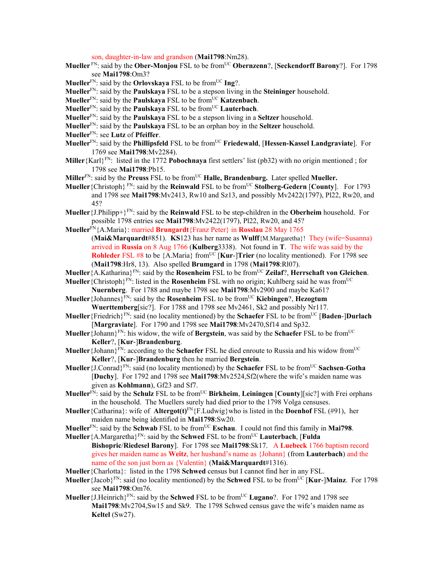son, daughter-in-law and grandson (**Mai1798**:Nm28).

- **Mueller**<sup>FN</sup>: said by the **Ober-Monjou** FSL to be from<sup>UC</sup> **Obernzenn**?, [Seckendorff Barony?]. For 1798 see **Mai1798**:Om3?
- **Mueller**<sup>FN</sup>: said by the **Orlovskaya** FSL to be from<sup>UC</sup>  $\text{Ing}$ ?.
- **Mueller**FN: said by the **Paulskaya** FSL to be a stepson living in the **Steininger** household.
- **Mueller**<sup>FN</sup>: said by the **Paulskaya** FSL to be from<sup>UC</sup> **Katzenbach**.
- **Mueller**<sup>FN</sup>: said by the **Paulskaya** FSL to be from<sup>UC</sup> **Lauterbach**.
- **Mueller**FN: said by the **Paulskaya** FSL to be a stepson living in a **Seltzer** household.
- **Mueller**FN: said by the **Paulskaya** FSL to be an orphan boy in the **Seltzer** household.
- **Mueller**FN: see **Lutz** of **Pfeiffer**.
- **Mueller**FN: said by the **Phillipsfeld** FSL to be fromUC **Friedewald**, [**Hessen-Kassel Landgraviate**]. For 1769 see **Mai1798**:Mv2284).
- **Miller**{Karl}FN: listed in the 1772 **Pobochnaya** first settlers' list (pb32) with no origin mentioned ; for 1798 see **Mai1798**:Pb15.
- **Miller**<sup>FN</sup>: said by the **Preuss** FSL to be from<sup>UC</sup> **Halle, Brandenburg.** Later spelled **Mueller.**
- **Mueller** {Christoph}  $F_N$ : said by the **Reinwald** FSL to be from <sup>UC</sup> **Stolberg-Gedern** [**County**]. For 1793 and 1798 see **Mai1798**:Mv2413, Rw10 and Sz13, and possibly Mv2422(1797), Pl22, Rw20, and 45?
- **Mueller**{J.Philipp+}FN: said by the **Reinwald** FSL to be step-children in the **Oberheim** household. For possible 1798 entries see **Mai1798**:Mv2422(1797), Pl22, Rw20, and 45?
- **Mueller**FN{A.Maria}: married **Brungardt**{Franz Peter} in **Rosslau** 28 May 1765 (**Mai&Marquardt**#851). **KS**123 has her name as **Wulff**{M.Margaretha}! They (wife=Susanna) arrived in **Russia** on 8 Aug 1766 (**Kulberg**3338). Not found in **T**. The wife was said by the **Rohleder** FSL #8 to be  ${A.Maria}$  from<sup>UC</sup> [**Kur-**]**Trier** (no locality mentioned). For 1798 see
	- (**Mai1798**:Hr8, 13). Also spelled **Brumgard** in 1798 (**Mai1798**:Rl07).
- **Mueller**{A.Katharina}FN: said by the **Rosenheim** FSL to be fromUC **Zeilaf**?, **Herrschaft von Gleichen**.
- **Mueller** {Christoph}<sup>FN</sup>: listed in the **Rosenheim** FSL with no origin; Kuhlberg said he was from<sup>UC</sup> **Nuernberg**. For 1788 and maybe 1798 see **Mai1798**:Mv2900 and maybe Ka61?
- **Mueller**{Johannes}<sup>FN</sup>: said by the **Rosenheim** FSL to be from<sup>UC</sup> **Kiebingen**?, **Hezogtum Wuerttemberg**[sic?]. For 1788 and 1798 see Mv2461, Sk2 and possibly Nr117.
- **Mueller**{Friedrich}FN: said (no locality mentioned) by the **Schaefer** FSL to be fromUC [**Baden**-]**Durlach** [**Margraviate**]. For 1790 and 1798 see **Mai1798**:Mv2470,Sf14 and Sp32.
- **Mueller** {Johann}<sup>FN</sup>: his widow, the wife of **Bergstein**, was said by the **Schaefer** FSL to be from<sup>UC</sup> **Keller**?, [**Kur**-]**Brandenburg**.
- **Mueller** {Johann}<sup>FN</sup>: according to the **Schaefer** FSL he died enroute to Russia and his widow from<sup>UC</sup> **Keller**?, [**Kur**-]**Brandenburg** then he married **Bergstein**.
- **Mueller** {J.Conrad}<sup>FN</sup>: said (no locality mentioned) by the **Schaefer** FSL to be from<sup>UC</sup> **Sachsen-Gotha** [**Duchy**]. For 1792 and 1798 see **Mai1798**:Mv2524,Sf2(where the wife's maiden name was given as **Kohlmann**), Gf23 and Sf7.
- **Mueller**FN: said by the **Schulz** FSL to be fromUC **Birkheim**, **Leiningen** [**County**][sic?] with Frei orphans in the household. The Muellers surely had died prior to the 1798 Volga censuses.
- **Mueller**{Catharina}: wife of **Altergot(t)**FN{F.Ludwig}who is listed in the **Doenhof** FSL (#91), her maiden name being identified in **Mai1798**:Sw20.
- **Mueller**<sup>FN</sup>: said by the **Schwab** FSL to be from<sup>UC</sup> **Eschau**. I could not find this family in **Mai798**.
- **Mueller** {A.Margaretha}<sup>FN</sup>: said by the **Schwed** FSL to be from<sup>UC</sup> **Lauterbach**, [**Fulda Bishopric**/**Riedesel Barony**]. For 1798 see **Mai1798**:Sk17. A **Luebeck** 1766 baptism record gives her maiden name as **Weitz**, her husband's name as {Johann} (from **Lauterbach**) and the name of the son just born as {Valentin} (**Mai&Marquardt**#1316).
- **Mueller**{Charlotta}: listed in the 1798 **Schwed** census but I cannot find her in any FSL.
- **Mueller**{Jacob}FN: said (no locality mentioned) by the **Schwed** FSL to be fromUC [**Kur**-]**Mainz**. For 1798 see **Mai1798**:Om76.
- **Mueller**{J.Heinrich}FN: said by the **Schwed** FSL to be fromUC **Lugano**?. For 1792 and 1798 see **Mai1798**:Mv2704,Sw15 and Sk9. The 1798 Schwed census gave the wife's maiden name as **Keltel** (Sw27).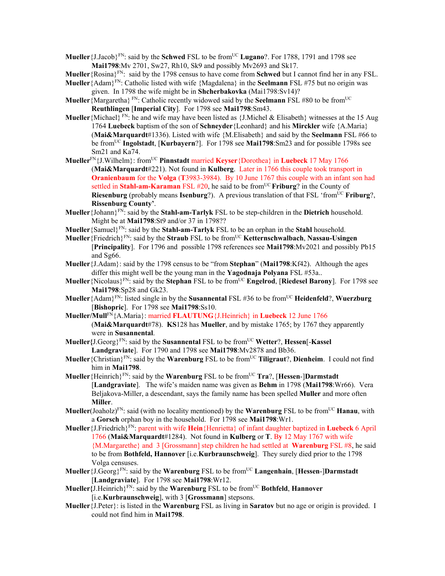**Mueller** {J.Jacob}<sup>FN</sup>: said by the **Schwed** FSL to be from<sup>UC</sup> **Lugano**?. For 1788, 1791 and 1798 see **Mai1798**:Mv 2701, Sw27, Rh10, Sk9 and possibly Mv2693 and Sk17.

**Mueller**{Rosina}FN: said by the 1798 census to have come from **Schwed** but I cannot find her in any FSL.

- **Mueller**{Adam}FN: Catholic listed with wife {Magdalena} in the **Seelmann** FSL #75 but no origin was given. In 1798 the wife might be in **Shcherbakovka** (Mai1798:Sv14)?
- **Mueller** {Margaretha} FN: Catholic recently widowed said by the **Seelmann** FSL #80 to be from<sup>UC</sup> **Reuthlingen** [**Imperial City**]. For 1798 see **Mai1798**:Sm43.
- **Mueller** {Michael} FN: he and wife may have been listed as  $\{J\}$ . Michel & Elisabeth} witnesses at the 15 Aug 1764 **Luebeck** baptism of the son of **Schneyder**{Leonhard} and his **Mirckler** wife {A.Maria} (**Mai&Marquardt**#1336). Listed with wife {M.Elisabeth} and said by the **Seelmann** FSL #66 to be fromUC **Ingolstadt**, [**Kurbayern**?]. For 1798 see **Mai1798**:Sm23 and for possible 1798s see Sm21 and Ka74.
- **Mueller**FN{J.Wilhelm}: fromUC **Pinnstadt** married **Keyser**{Dorothea} in **Luebeck** 17 May 1766 (**Mai&Marquardt**#221). Not found in **Kulberg**. Later in 1766 this couple took transport in **Oranienbaum** for the **Volga** (**T**3983-3984). By 10 June 1767 this couple with an infant son had settled in **Stahl-am-Karaman** FSL #20, he said to be from<sup>UC</sup> **Friburg**? in the County of **Riesenburg** (probably means **Isenburg**?). A previous translation of that FSL 'from<sup>UC</sup> **Friburg**?, **Rissenburg County'**.
- **Mueller**{Johann}FN: said by the **Stahl-am-Tarlyk** FSL to be step-children in the **Dietrich** household. Might be at **Mai1798**:St9 and/or 37 in 1798??
- **Mueller**{Samuel}FN: said by the **Stahl-am-Tarlyk** FSL to be an orphan in the **Stahl** household.
- **Mueller**{Friedrich}FN: said by the **Straub** FSL to be fromUC **Ketternschwalbach**, **Nassau-Usingen** [**Principality**]. For 1796 and possible 1798 references see **Mai1798**:Mv2021 and possibly Pb15 and Sg66.
- **Mueller**{J.Adam}: said by the 1798 census to be "from **Stephan**" (**Mai1798**:Kf42). Although the ages differ this might well be the young man in the **Yagodnaja Polyana** FSL #53a..
- **Mueller** {Nicolaus}<sup>FN</sup>: said by the **Stephan** FSL to be from<sup>UC</sup> **Engelrod**, [Riedesel Barony]. For 1798 see **Mai1798**:Sp28 and Gk23.
- **Mueller**{Adam}FN: listed single in by the **Susannental** FSL #36 to be fromUC **Heidenfeld**?, **Wuerzburg**  [**Bishopric**]. For 1798 see **Mai1798**:Ss10.
- **Mueller/Mull**FN{A.Maria}: married **FLAUTUNG**{J.Heinrich} in **Luebeck** 12 June 1766 (**Mai&Marquardt**#78). **KS**128 has **Mueller**, and by mistake 1765; by 1767 they apparently were in **Susannental**.
- **Mueller{**J.Georg}FN: said by the **Susannental** FSL to be fromUC **Wetter**?, **Hessen**[-**Kassel Landgraviate**]. For 1790 and 1798 see **Mai1798**:Mv2878 and Bb36.
- **Mueller**{Christian}FN: said by the **Warenburg** FSL to be fromUC **Tiligraut**?, **Dienheim**. I could not find him in **Mai1798**.
- **Mueller**{Heinrich}<sup>FN</sup>: said by the **Warenburg** FSL to be from<sup>UC</sup> **Tra**?, [Hessen-]Darmstadt [**Landgraviate**]. The wife's maiden name was given as **Behm** in 1798 (**Mai1798**:Wr66). Vera Beljakova-Miller, a descendant, says the family name has been spelled **Muller** and more often **Miller**.
- **Mueller**(Joaholz)<sup>FN</sup>: said (with no locality mentioned) by the **Warenburg** FSL to be from<sup>UC</sup> **Hanau**, with a **Gorsch** orphan boy in the household. For 1798 see **Mai1798**:Wr1.
- **Mueller**{J.Friedrich}FN: parent with wife **Hein**{Henrietta} of infant daughter baptized in **Luebeck** 6 April 1766 (**Mai&Marquardt**#1284). Not found in **Kulberg** or **T**. B**y** 12 May 1767 with wife {M.Margarethe} and 3 [Grossmann] step children he had settled at **Warenburg** FSL #8, he said to be from **Bothfeld, Hannover** [i.e.**Kurbraunschweig**]. They surely died prior to the 1798 Volga censuses.
- **Mueller**{J.Georg}FN: said by the **Warenburg** FSL to be fromUC **Langenhain**, [**Hessen**-]**Darmstadt** [**Landgraviate**]. For 1798 see **Mai1798**:Wr12.
- **Mueller{**J.Heinrich}FN: said by the **Warenburg** FSL to be fromUC **Bothfeld**, **Hannover**  [i.e.**Kurbraunschweig**], with 3 [**Grossmann**] stepsons.
- **Mueller**{J.Peter}: is listed in the **Warenburg** FSL as living in **Saratov** but no age or origin is provided. I could not find him in **Mai1798**.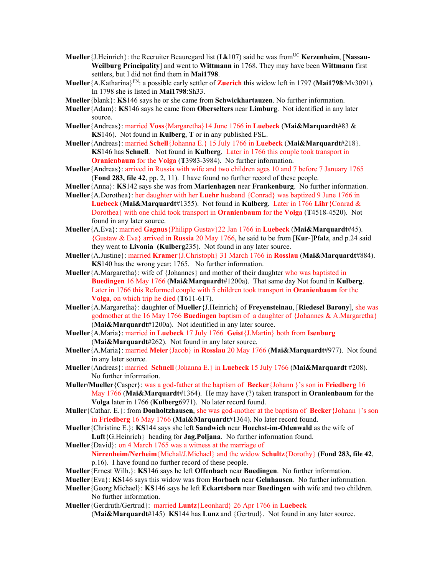- **Mueller** {J.Heinrich}: the Recruiter Beauregard list (Lk107) said he was from<sup>UC</sup> **Kerzenheim**, [Nassau-**Weilburg Principality**] and went to **Wittmann** in 1768. They may have been **Wittmann** first settlers, but I did not find them in **Mai1798**.
- **Mueller**{A.Katharina}FN: a possible early settler of **Zuerich** this widow left in 1797 (**Mai1798**:Mv3091). In 1798 she is listed in **Mai1798**:Sh33.
- **Mueller**{blank}: **KS**146 says he or she came from **Schwickhartauzen**. No further information.
- **Mueller**{Adam}: **KS**146 says he came from **Oberselters** near **Limburg**. Not identified in any later source.
- **Mueller**{Andreas}: married **Voss**{Margaretha}14 June 1766 in **Luebeck** (**Mai&Marquardt**#83 & **KS**146). Not found in **Kulberg**, **T** or in any published FSL.
- **Mueller**{Andreas}: married **Schell**{Johanna E.} 15 July 1766 in **Luebeck** (**Mai&Marquardt**#218}. **KS**146 has **Schnell**. Not found in **Kulberg**. Later in 1766 this couple took transport in **Oranienbaum** for the **Volga** (**T**3983-3984). No further information.
- **Mueller**{Andreas}: arrived in Russia with wife and two children ages 10 and 7 before 7 January 1765 (**Fond 283, file 42**, pp. 2, 11). I have found no further record of these people.
- **Mueller**{Anna}: **KS**142 says she was from **Marienhagen** near **Frankenburg**. No further information. **Mueller**{A.Dorothea}: her daughter with her **Luehr** husband {Conrad} was baptized 9 June 1766 in
- **Luebeck** (**Mai&Marquardt**#1355). Not found in **Kulberg**. Later in 1766 **Lihr**{Conrad & Dorothea} with one child took transport in **Oranienbaum** for the **Volga** (**T**4518-4520). Not found in any later source.
- **Mueller**{A.Eva}: married **Gagnus**{Philipp Gustav}22 Jan 1766 in **Luebeck** (**Mai&Marquardt**#45). {Gustaw & Eva} arrived in **Russia** 20 May 1766, he said to be from [**Kur**-]**Pfalz**, and p.24 said they went to **Livonia (Kulberg**235). Not found in any later source.
- **Mueller**{A.Justine}: married **Kramer**{J.Christoph} 31 March 1766 in **Rosslau** (**Mai&Marquardt**#884). **KS**140 has the wrong year: 1765. No further information.
- **Mueller**{A.Margaretha}: wife of {Johannes} and mother of their daughter who was baptisted in **Buedingen** 16 May 1766 (**Mai&Marquardt**#1200a). That same day Not found in **Kulberg**. Later in 1766 this Reformed couple with 5 children took transport in **Oranienbaum** for the **Volga**, on which trip he died (**T**611-617).
- **Mueller**{A.Margaretha}: daughter of **Mueller**{J.Heinrich} of **Freyensteinau**, [**Riedesel Barony**], she was godmother at the 16 May 1766 **Buedingen** baptism of a daughter of {Johannes & A.Margaretha} (**Mai&Marquardt**#1200a). Not identified in any later source.
- **Mueller**{A.Maria}: married in **Luebeck** 17 July 1766 **Geist**{J.Martin} both from **Isenburg**  (**Mai&Marquardt**#262). Not found in any later source.
- **Mueller**{A.Maria}: married **Meier**{Jacob} in **Rosslau** 20 May 1766 (**Mai&Marquardt**#977). Not found in any later source.
- **Mueller**{Andreas}: married **Schnell**{Johanna E.} in **Luebeck** 15 July 1766 (**Mai&Marquardt** #208). No further information.
- **Muller/Mueller**{Casper}: was a god-father at the baptism of **Becker**{Johann }'s son in **Friedberg** 16 May 1766 (**Mai&Marquardt**#1364). He may have (?) taken transport in **Oranienbaum** for the **Volga** later in 1766 (**Kulberg**6971). No later record found.
- **Muller**{Cathar. E.}: from **Donholtzhausen**, she was god-mother at the baptism of **Becker**{Johann }'s son in **Friedberg** 16 May 1766 (**Mai&Marquardt**#1364). No later record found.
- **Mueller**{Christine E.}: **KS**144 says she left **Sandwich** near **Hoechst-im-Odenwald** as the wife of **Luft**{G.Heinrich} heading for **Jag.Poljana**. No further information found.
- **Mueller**{David}: on 4 March 1765 was a witness at the marriage of **Nirrenheim/Nerheim**{Michal/J.Michael} and the widow **Schultz**{Dorothy} (**Fond 283, file 42**, p.16). I have found no further record of these people.
- **Mueller**{Ernest Wilh.}: **KS**146 says he left **Offenbach** near **Buedingen**. No further information.
- **Mueller**{Eva}: **KS**146 says this widow was from **Horbach** near **Gelnhausen**. No further information.
- **Mueller**{Georg Michael}: **KS**146 says he left **Eckartsborn** near **Buedingen** with wife and two children. No further information.
- **Mueller**{Gerdruth/Gertrud}: married **Luntz**{Leonhard} 26 Apr 1766 in **Luebeck**  (**Mai&Marquardt**#145) **KS**144 has **Lunz** and {Gertrud}. Not found in any later source.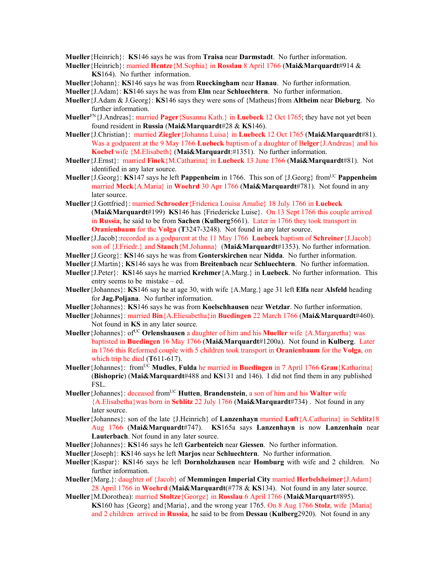**Mueller**{Heinrich}: **KS**146 says he was from **Traisa** near **Darmstadt**. No further information.

- **Mueller**{Heinrich}: married **Hentze**{M.Sophia} in **Rosslau** 8 April 1766 (**Mai&Marquardt**#914 & **KS**164). No further information.
- **Mueller**{Johann}: **KS**146 says he was from **Rueckingham** near **Hanau**. No further information.
- **Mueller**{J.Adam}: **KS**146 says he was from **Elm** near **Schluechtern**. No further information.
- **Mueller**{J.Adam & J.Georg}: **KS**146 says they were sons of {Matheus}from **Altheim** near **Dieburg**. No further information.
- **Mueller**FN{J.Andreas}: married **Pager**{Susanna Kath.} in **Luebeck** 12 Oct 1765; they have not yet been found resident in **Russia** (**Mai&Marquardt**#28 & **KS**146).
- **Mueller**{J.Christian}: married **Ziegler**{Johanna Luisa} in **Luebeck** 12 Oct 1765 (**Mai&Marquardt**#81). Was a godparent at the 9 May 1766 **Luebeck** baptism of a daughter of B**elger**{J.Andreas} and his **Koebel** wife {M.Elisabeth} (**Mai&Marquardt**:#1351). No further information.
- **Mueller**{J.Ernst}: married **Finck**{M.Catharina} in **Luebeck** 13 June 1766 (**Mai&Marquardt**#81). Not identified in any later source.
- **Mueller** {J.Georg}: **KS**147 says he left **Pappenheim** in 1766. This son of {J.Georg} from<sup>UC</sup> **Pappenheim** married **Meck**{A.Maria} in **Woehrd** 30 Apr 1766 (**Mai&Marquardt**#781). Not found in any later source.
- **Mueller**{J.Gottfried}: married **Schroeder**{Friderica Louisa Amalie} 18 July 1766 in **Luebeck**  (**Mai&Marquardt**#199) **KS**146 has {Friedericke Luise}. On 13 Sept 1766 this couple arrived in **Russia**, he said to be from **Sachen** (**Kulberg**5661). Later in 1766 they took transport in **Oranienbaum** for the **Volga** (**T**3247-3248). Not found in any later source.
- **Mueller**{J.Jacob}:recorded as a godparent at the 11 May 1766 **Luebeck** baptism of **Schreiner**{J.Jacob} son of {J.Friedr.} and **Stauch**{M.Johanna} (**Mai&Marquardt**#1353). No further information.
- **Mueller**{J.Georg}: **KS**146 says he was from **Gonterskirchen** near **Nidda**. No further information.
- **Mueller**{J.Martin}; **KS**146 says he was from **Breitenbach** near **Schluechtern**. No further information.
- **Mueller**{J.Peter}: **KS**146 says he married **Krehmer**{A.Marg.} in **Luebeck**. No further information. This entry seems to be mistake – ed.
- **Mueller**{Johannes}: **KS**146 say he at age 30, with wife {A.Marg.} age 31 left **Elfa** near **Alsfeld** heading for **Jag.Poljana**. No further information.
- **Mueller**{Johannes}: **KS**146 says he was from **Koelschhausen** near **Wetzlar**. No further information.
- **Mueller**{Johannes}: married **Bin**{A.Eliesabetha}in **Buedingen** 22 March 1766 (**Mai&Marquardt**#460). Not found in **KS** in any later source.
- **Mueller** {Johannes}: of<sup>UC</sup> **Orlenshausen** a daughter of him and his **Mueller** wife {A.Margaretha} was baptisted in **Buedingen** 16 May 1766 (**Mai&Marquardt**#1200a). Not found in **Kulberg**. Later in 1766 this Reformed couple with 5 children took transport in **Oranienbaum** for the **Volga**, on which trip he died (**T**611-617).
- **Mueller** {Johannes}: from<sup>UC</sup> **Mudles**, **Fulda** he married in **Buedingen** in 7 April 1766 **Grau**{Katharina} (**Bishopric**) (**Mai&Marquardt**#488 and **KS**131 and 146). I did not find them in any published FSL.
- **Mueller**{Johannes}: deceased fromUC **Hutten**, **Brandenstein**, a son of him and his **Walter** wife {A.Elisabetha}was born in **Schlitz** 22 July 1766 (**Mai&Marquardt**#734) . Not found in any later source.
- **Mueller**{Johannes}: son of the late {J.Heinrich} of **Lanzenhayn** married **Luft**{A.Catharina} in S**chlitz**18 Aug 1766 (**Mai&Marquardt**#747). **KS**165a says **Lanzenhayn** is now **Lanzenhain** near **Lauterbach**. Not found in any later source.
- **Mueller**{Johannes}: **KS**146 says he left **Garbenteich** near **Giessen**. No further information.
- **Mueller**{Joseph}: **KS**146 says he left **Marjos** near **Schluechtern**. No further information.
- **Mueller**{Kaspar}: **KS**146 says he left **Dornholzhausen** near **Homburg** with wife and 2 children. No further information.
- **Mueller**{Marg.}: daughter of {Jacob} of **Memmingen Imperial City** married **Herbelsheimer**{J.Adam} 28 April 1766 in **Woehrd** (**Mai&Marquardt**(#778 & **KS**134). Not found in any later source.
- **Mueller**{M.Dorothea): married **Stoltze**{George} in **Rosslau** 6 April 1766 (**Mai&Marquart**#895). **KS**160 has {Georg} and{Maria}, and the wrong year 1765. On 8 Aug 1766 **Stolz**, wife {Maria} and 2 children arrived in **Russia**, he said to be from **Dessau** (**Kulberg**2920). Not found in any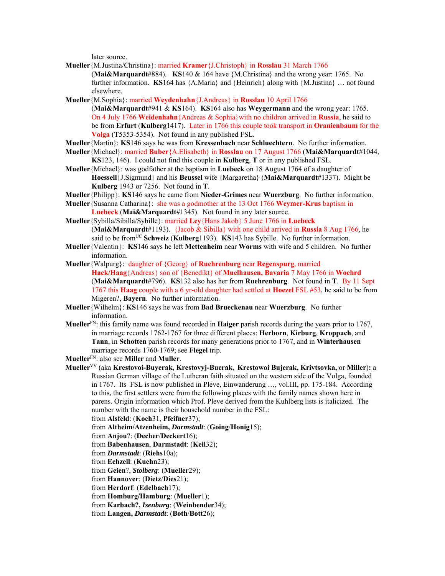later source.

- **Mueller**{M.Justina/Christina}: married **Kramer**{J.Christoph} in **Rosslau** 31 March 1766 (**Mai&Marquardt**#884). **KS**140 & 164 have {M.Christina} and the wrong year: 1765. No further information. **KS**164 has {A.Maria} and {Heinrich} along with {M.Justina} … not found elsewhere.
- **Mueller**{M.Sophia}: married **Weydenhahn**{J.Andreas} in **Rosslau** 10 April 1766 (**Mai&Marquardt**#941 & **KS**164). **KS**164 also has **Weygermann** and the wrong year: 1765. On 4 July 1766 **Weidenhahn**{Andreas & Sophia}with no children arrived in **Russia**, he said to be from **Erfurt** (**Kulberg**1417). Later in 1766 this couple took transport in **Oranienbaum** for the **Volga** (**T**5353-5354). Not found in any published FSL.
- **Mueller**{Martin}: **KS**146 says he was from **Kressenbach** near **Schluechtern**. No further information.
- **Mueller**{Michael}: married **Buber**{A.Elisabeth} in **Rosslau** on 17 August 1766 (**Mai&Marquardt**#1044, **KS**123, 146). I could not find this couple in **Kulberg**, **T** or in any published FSL.
- **Mueller**{Michael}: was godfather at the baptism in **Luebeck** on 18 August 1764 of a daughter of **Hoessell**{J.Sigmund} and his **Beussel** wife {Margaretha} (**Mai&Marquardt**#1337). Might be **Kulberg** 1943 or 7256. Not found in **T**.
- **Mueller**{Philipp}: **KS**146 says he came from **Nieder-Grimes** near **Wuerzburg**. No further information.
- **Mueller**{Susanna Catharina}: she was a godmother at the 13 Oct 1766 **Weymer-Krus** baptism in **Luebeck** (**Mai&Marquardt**#1345). Not found in any later source.
- **Mueller**{Sybilla/Sibilla/Sybille}: married **Ley**{Hans Jakob} 5 June 1766 in **Luebeck** (**Mai&Marquardt**#1193). {Jacob & Sibilla} with one child arrived in **Russia** 8 Aug 1766, he said to be from<sup>UC</sup> Schweiz (Kulberg1193). KS143 has Sybille. No further information.
- **Mueller**{Valentin}: **KS**146 says he left **Mettenheim** near **Worms** with wife and 5 children. No further information.
- **Mueller**{Walpurg}: daughter of {Georg} of **Ruehrenburg** near **Regenspurg**, married **Hack/Haag**{Andreas} son of {Benedikt} of **Muelhausen, Bavaria** 7 May 1766 in **Woehrd** (**Mai&Marquardt**#796). **KS**132 also has her from **Ruehrenburg**. Not found in **T**. By 11 Sept 1767 this **Haag** couple with a 6 yr-old daughter had settled at **Hoezel** FSL #53, he said to be from Migeren?, **Bayern**. No further information.
- **Mueller**{Wilhelm}: **KS**146 says he was from **Bad Brueckenau** near **Wuerzburg**. No further information.
- **Mueller**FN: this family name was found recorded in **Haiger** parish records during the years prior to 1767, in marriage records 1762-1767 for three different places: **Herborn**, **Kirburg**, **Kroppach**, and **Tann**, in **Schotten** parish records for many generations prior to 1767, and in **Winterhausen** marriage records 1760-1769; see **Flegel** trip.

**Mueller**FN: also see **Miller** and **Muller**.

**Mueller**VV (aka **Krestovoi-Buyerak, Krestovyj-Buerak, Krestowoi Bujerak, Krivtsovka,** or **Miller**)**:** a Russian German village of the Lutheran faith situated on the western side of the Volga, founded in 1767. Its FSL is now published in Pleve, Einwanderung …, vol.III, pp. 175-184. According to this, the first settlers were from the following places with the family names shown here in parens. Origin information which Prof. Pleve derived from the Kuhlberg lists is italicized. The number with the name is their household number in the FSL:

from **Alsfeld**: (**Koch**31, **Pfeifner**37);

- from **Altheim/Atzenheim,** *Darmstadt*: (**Going**/**Honig**15);
- from **Anjou**?: (**Decher**/**Deckert**16);
- from **Babenhausen**, **Darmstadt**: (**Keil**32);
- from *Darmstadt*: (**Riehs**10a);
- from **Echzell**: (**Kuehn**23);
- from **Geien**?, *Stolberg*: (**Mueller**29);
- from **Hannover**: (**Dietz**/**Dies**21);
- from **Herdorf**: (**Edelbach**17);
- from **Homburg/Hamburg**: (**Mueller**1);
- from **Karbach?,** *Isenburg*: (**Weinbender**34);

from **Langen,** *Darmstadt*: (**Both**/**Bott**26);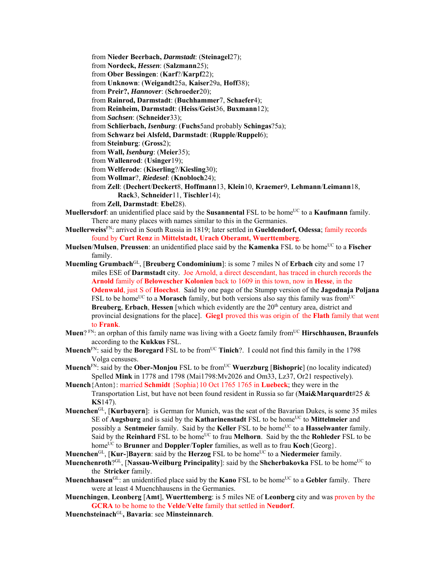from **Nieder Beerbach,** *Darmstadt*: (**Steinagel**27); from **Nordeck,** *Hessen*: (**Salzmann**25); from **Ober Bessingen**: (**Karf**?/**Karpf**22); from **Unknown**: (**Weigandt**25a, **Kaiser**29a, **Hoff**38); from **Preir?,** *Hannover*: (**Schroeder**20); from **Rainrod, Darmstadt**: (**Buchhammer**7, **Schaefer**4); from **Reinheim, Darmstadt**: (**Heiss**/**Geist**36, **Buxmann**12); from *Sachsen*: (**Schneider**33); from **Schlierbach,** *Isenburg*: (**Fuchs**5and probably **Schingas**?5a); from **Schwarz bei Alsfeld, Darmstadt**: (**Rupple**/**Ruppel**6); from **Steinburg**: (**Gross**2); from **Wall,** *Isenburg*: (**Meier**35); from **Wallenrod**: (**Usinger**19); from **Welferode**: (**Kiserling**?/**Kiesling**30); from **Wollmar**?, *Riedesel*: (**Knobloch**24); from **Zell**: (**Dechert**/**Deckert**8, **Hoffmann**13, **Klein**10, **Kraemer**9, **Lehmann**/**Leimann**18, **Rack**3, **Schneider**11, **Tischler**14);

from **Zell, Darmstadt**: **Ebel**28).

- **Muellersdorf**: an unidentified place said by the **Susannental** FSL to be home<sup>UC</sup> to a **Kaufmann** family. There are many places with names similar to this in the Germanies.
- **Muellerweiss**FN: arrived in South Russia in 1819; later settled in **Gueldendorf, Odessa**; family records found by **Curt Renz** in **Mittelstadt, Urach Oberamt, Wuerttemberg**.
- **Muelsen/Mulsen, Preussen**: an unidentified place said by the **Kamenka** FSL to be home<sup>UC</sup> to a **Fischer** family.

**Muemling Grumbach**GL, [**Breuberg Condominium**]: is some 7 miles N of **Erbach** city and some 17 miles ESE of **Darmstadt** city. Joe Arnold, a direct descendant, has traced in church records the **Arnold** family of **Belowescher Kolonien** back to 1609 in this town, now in **Hesse**, in the **Odenwald**, just S of **Hoechst**. Said by one page of the Stumpp version of the **Jagodnaja Poljana**  FSL to be home<sup>UC</sup> to a **Morasch** family, but both versions also say this family was from<sup>UC</sup> **Breuberg, Erbach, Hessen** [which which evidently are the 20<sup>th</sup> century area, district and provincial designations for the place]. **Gieg1** proved this was origin of the **Flath** family that went to **Frank**.

- **Muen**? FN: an orphan of this family name was living with a Goetz family from<sup>UC</sup> **Hirschhausen, Braunfels** according to the **Kukkus** FSL.
- **Muench**<sup>FN</sup>: said by the **Boregard** FSL to be from<sup>UC</sup> **Tinich**?. I could not find this family in the 1798 Volga censuses.

**Muench**<sup>FN</sup>: said by the **Ober-Monjou** FSL to be from<sup>UC</sup> **Wuerzburg** [Bishopric] (no locality indicated) Spelled **Mink** in 1778 and 1798 (Mai1798:Mv2026 and Om33, Lz37, Or21 respectively).

- **Muench**{Anton}: married **Schmidt** {Sophia}10 Oct 1765 1765 in **Luebeck**; they were in the Transportation List, but have not been found resident in Russia so far (**Mai&Marquardt**#25 & **KS**147).
- **Muenchen**GL, [**Kurbayern**]: is German for Munich, was the seat of the Bavarian Dukes, is some 35 miles SE of **Augsburg** and is said by the **Katharinenstadt** FSL to be home<sup>UC</sup> to **Mittelmeier** and possibly a **Sentmeier** family. Said by the **Keller** FSL to be home<sup>UC</sup> to a **Hasselwanter** family. Said by the **Reinhard** FSL to be homeUC to frau **Melhorn**. Said by the the **Rohleder** FSL to be home<sup>UC</sup> to **Brunner** and **Doppler**/**Topler** families, as well as to frau **Koch**{Georg}.
- **Muenchen**<sup>GL</sup>, [**Kur-**]**Bayern**: said by the **Herzog** FSL to be home<sup>UC</sup> to a **Niedermeier** family.
- **Muenchenroth**?<sup>GL</sup>, [Nassau-Weilburg Principality]: said by the **Shcherbakovka** FSL to be home<sup>UC</sup> to the **Stricker** family.
- **Muenchhausen**<sup>GL</sup>: an unidentified place said by the **Kano** FSL to be home<sup>UC</sup> to a **Gebler** family. There were at least 4 Muenchhausens in the Germanies.
- **Muenchingen**, **Leonberg** [**Amt**], **Wuerttemberg**: is 5 miles NE of **Leonberg** city and was proven by the **GCRA** to be home to the **Velde**/**Velte** family that settled in **Neudorf**.
- **Muenchsteinach**GL**, Bavaria**: see **Minsteinnarch**.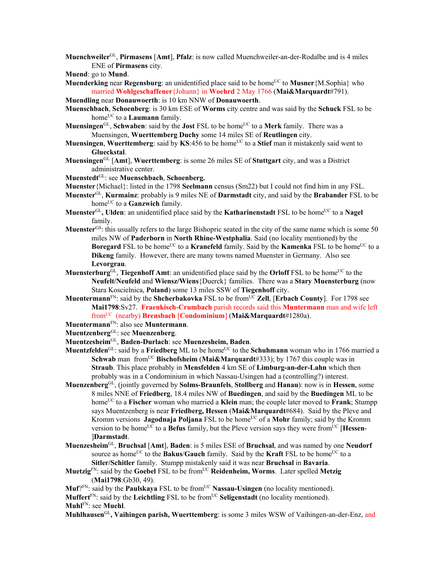**Muenchweiler**GL, **Pirmasens** [**Amt**], **Pfalz**: is now called Muenchweiler-an-der-Rodalbe and is 4 miles ENE of **Pirmasens** city.

**Muend**: go to **Mund**.

**Muenderking** near **Regensburg**: an unidentified place said to be home<sup>UC</sup> to **Musner**{M.Sophia} who married **Wohlgeschaffener**{Johann} in **Woehrd** 2 May 1766 (**Mai&Marquardt**#791).

**Muendling** near **Donauwoerth**: is 10 km NNW of **Donauwoerth**.

- **Muenschbach**, **Schoenberg**: is 30 km ESE of **Worms** city centre and was said by the **Schuck** FSL to be home<sup>UC</sup> to a **Laumann** family.
- **Muensingen**<sup>GL</sup>, **Schwaben**: said by the **Jost** FSL to be home<sup>UC</sup> to a Merk family. There was a Muensingen, **Wuerttemberg Duchy** some 14 miles SE of **Reutlingen** city.
- **Muensingen**, Wuerttemberg: said by KS:456 to be home<sup>UC</sup> to a Stief man it mistakenly said went to **Glueckstal**.
- **Muensingen**GL [**Amt**], **Wuerttemberg**: is some 26 miles SE of **Stuttgart** city, and was a District administrative center.
- **Muenstedt**GL: see **Muenschbach**, **Schoenberg.**
- **Muenster**{Michael}: listed in the 1798 **Seelmann** census (Sm22) but I could not find him in any FSL.
- **Muenster**GL, **Kurmainz**: probably is 9 miles NE of **Darmstadt** city, and said by the **Brabander** FSL to be home<sup>UC</sup> to a **Ganzwich** family.
- **Muenster**<sup>GL</sup>, Ulden: an unidentified place said by the **Katharinenstadt** FSL to be home<sup>UC</sup> to a **Nagel** family.
- **Muenster**GS: this usually refers to the large Bishopric seated in the city of the same name which is some 50 miles NW of **Paderborn** in **North Rhine-Westphalia**. Said (no locality mentioned) by the **Boregard** FSL to be home<sup>UC</sup> to a **Kranefeld** family. Said by the **Kamenka** FSL to be home<sup>UC</sup> to a **Dikeng** family. However, there are many towns named Muenster in Germany. Also see **Levorgrau**.
- **Muensterburg**<sup>GL</sup>, **Tiegenhoff Amt**: an unidentified place said by the **Orloff** FSL to be home<sup>UC</sup> to the **Neufelt/Neufeld** and **Wiensz/Wiens**{Duerck} families. There was a **Stary Muensterburg** (now Stara Koscielnica, **Poland**) some 13 miles SSW of **Tiegenhoff** city.
- **Muentermann**<sup>FN</sup>: said by the **Shcherbakovka** FSL to be from<sup>UC</sup> **Zell**, [**Erbach County**]. For 1798 see **Mai1798**:Sv27. **Fraenkisch-Crumbach** parish records said this **Muntermann** man and wife left fromUC (nearby) **Brensbach** [**Condominium**] (**Mai&Marquardt**#1280a).
- **Muentermann**FN: also see **Muntermann**.

**Muentzenberg**GL: see **Muenzenberg**.

- **Muentzesheim**GL, **Baden-Durlach**: see **Muenzesheim, Baden**.
- **Muentzfelden**<sup>GL</sup>: said by a **Friedberg** ML to be home<sup>UC</sup> to the **Schuhmann** woman who in 1766 married a **Schwab** man from<sup>UC</sup> **Bischofsheim** (Mai&Marquardt#333); by 1767 this couple was in **Straub**. This place probably in **Mensfelden** 4 km SE of **Limburg-an-der-Lahn** which then probably was in a Condominium in which Nassau-Usingen had a (controlling?) interest.
- **Muenzenberg**GL, (jointly governed by **Solms-Braunfels**, **Stollberg** and **Hanau**): now is in **Hessen**, some 8 miles NNE of **Friedberg**, 18.4 miles NW of **Buedingen**, and said by the **Buedingen** ML to be home<sup>UC</sup> to a **Fischer** woman who married a **Klein** man; the couple later moved to **Frank**; Stumpp says Muentzenberg is near **Friedberg, Hessen** (**Mai&Marquardt**#684). Said by the Pleve and Kromm versions **Jagodnaja Poljana** FSL to be home<sup>UC</sup> of a **Mohr** family; said by the Kromm version to be home<sup>UC</sup> to a **Befus** family, but the Pleve version says they were from<sup>UC</sup> [**Hessen**-]**Darmstadt**.
- **Muenzesheim**GL, **Bruchsal** [**Amt**], **Baden**: is 5 miles ESE of **Bruchsal**, and was named by one **Neudorf** source as home<sup>UC</sup> to the **Bakus/Gauch** family. Said by the **Kraft** FSL to be home<sup>UC</sup> to a **Sitler/Schitler** family. Stumpp mistakenly said it was near **Bruchsal** in **Bavaria**.
- **Muetzig**FN: said by the **Goebel** FSL to be fromUC **Reidenheim, Worms**. Later spelled **Metzig** (**Mai1798**:Gb30, 49).

Muf?<sup>FN</sup>: said by the **Paulskaya** FSL to be from<sup>UC</sup> **Nassau-Usingen** (no locality mentioned). **Muffert**<sup>FN</sup>: said by the **Leichtling** FSL to be from<sup>UC</sup> **Seligenstadt** (no locality mentioned). **Muhl**FN: see **Muehl**.

**Muhlhausen**GL**, Vaihingen parish, Wuerttemberg**: is some 3 miles WSW of Vaihingen-an-der-Enz, and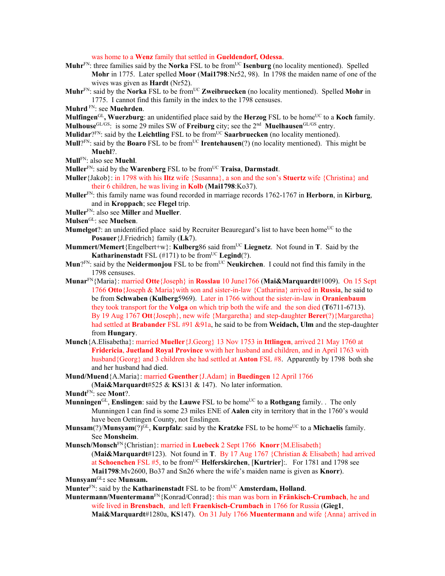was home to a **Wenz** family that settled in **Gueldendorf, Odessa**.

- **Muhr**<sup>FN</sup>: three families said by the **Norka** FSL to be from<sup>UC</sup> **Isenburg** (no locality mentioned). Spelled **Mohr** in 1775. Later spelled **Moor** (**Mai1798**:Nr52, 98). In 1798 the maiden name of one of the wives was given as **Hardt** (Nr52).
- **Muhr**FN: said by the **Norka** FSL to be fromUC **Zweibruecken** (no locality mentioned). Spelled **Mohr** in 1775. I cannot find this family in the index to the 1798 censuses.
- **Muhrd** FN: see **Muehrden**.

**Mulfingen**<sup>GL</sup>, Wuerzburg: an unidentified place said by the **Herzog** FSL to be home<sup>UC</sup> to a **Koch** family. **Mulhouse**GL/GS: is some 29 miles SW of **Freiburg** city; see the 2nd **Muelhausen**GL/GS entry.

**Mulidar**? $F_N$ : said by the **Leichtling** FSL to be from  $UC$  **Saarbruecken** (no locality mentioned).

- **Mull**?FN: said by the **Boaro** FSL to be fromUC **Irentehausen**(?) (no locality mentioned). This might be **Muehl**?.
- **Mull**FN: also see **Muehl**.

**Muller**FN: said by the **Warenberg** FSL to be fromUC **Traisa**, **Darmstadt**.

- **Muller**{Jakob}: in 1798 with his **Iltz** wife {Susanna}, a son and the son's **Stuertz** wife {Christina} and their 6 children, he was living in **Kolb** (**Mai1798**:Ko37).
- **Muller**FN: this family name was found recorded in marriage records 1762-1767 in **Herborn**, in **Kirburg**, and in **Kroppach**; see **Flegel** trip.
- **Muller**FN: also see **Miller** and **Mueller**.
- **Mulsen**GL: see **Muelsen**.
- **Mumelgot**?: an unidentified place said by Recruiter Beauregard's list to have been home<sup>UC</sup> to the **Posauer**{J.Friedrich} family (**Lk**7).
- **Mummert/Memert**{Engelbert+w}: **Kulberg**86 said fromUC **Liegnetz**. Not found in **T**. Said by the **Katharinenstadt** FSL  $(\#171)$  to be from<sup>UC</sup> **Legind** $(?)$ .
- **Mun**?<sup>FN</sup>: said by the **Neidermonjou** FSL to be from<sup>UC</sup> **Neukirchen**. I could not find this family in the 1798 censuses.
- **Munar**FN{Maria}: married **Otte**{Joseph} in **Rosslau** 10 June1766 (**Mai&Marquardt**#1009). On 15 Sept 1766 **Otto**{Joseph & Maria}with son and sister-in-law {Catharina} arrived in **Russia**, he said to be from **Schwaben** (**Kulberg**5969). Later in 1766 without the sister-in-law in **Oranienbaum**  they took transport for the **Volga** on which trip both the wife and the son died (**T**6711-6713). By 19 Aug 1767 **Ott**{Joseph}, new wife {Margaretha} and step-daughter **Berer**(?){Margaretha} had settled at **Brabander** FSL #91 &91a, he said to be from **Weidach, Ulm** and the step-daughter from **Hungary**.
- **Munch**{A.Elisabetha}: married **Mueller**{J.Georg} 13 Nov 1753 in **Ittlingen**, arrived 21 May 1760 at **Fridericia**, **Juetland Royal Province** wwith her husband and children, and in April 1763 with husband{Georg} and 3 children she had settled at **Anton** FSL #8. Apparently by 1798 both she and her husband had died.
- **Mund/Muend**{A.Maria}: married **Guenther**{J.Adam} in **Buedingen** 12 April 1766 (**Mai&Marquardt**#525 & **KS**131 & 147). No later information.
- **Mundt**FN: see **Mont**?.
- **Munningen**<sup>GL</sup>, **Enslingen**: said by the **Lauwe** FSL to be home<sup>UC</sup> to a **Rothgang** family. . The only Munningen I can find is some 23 miles ENE of **Aalen** city in territory that in the 1760's would have been Oettingen County, not Enslingen.
- **Munsam**(?)/**Munsyam**(?)<sup>GL</sup>, **Kurpfalz**: said by the **Kratzke** FSL to be home<sup>UC</sup> to a **Michaelis** family. See **Monsheim**.
- **Munsch/Monsch**FN{Christian}: married in **Luebeck** 2 Sept 1766 **Knorr**{M.Elisabeth} (**Mai&Marquardt**#123). Not found in **T**. By 17 Aug 1767 {Christian & Elisabeth} had arrived at **Schoenchen** FSL #5, to be fromUC **Helferskirchen**, [**Kurtrier**]:. For 1781 and 1798 see
- **Mai1798**:Mv2600, Bo37 and Sn26 where the wife's maiden name is given as **Knorr**). **Munsyam**GL**:** see **Munsam.**
- **Munter**<sup>FN</sup>: said by the **Katharinenstadt** FSL to be from<sup>UC</sup> **Amsterdam, Holland**.
- **Muntermann/Muentermann**FN{Konrad/Conrad}: this man was born in **Fränkisch-Crumbach**, he and wife lived in **Brensbach**, and left **Fraenkisch-Crumbach** in 1766 for Russia (**Gieg1**, **Mai&Marquardt**#1280a, **KS**147). On 31 July 1766 **Muentermann** and wife {Anna} arrived in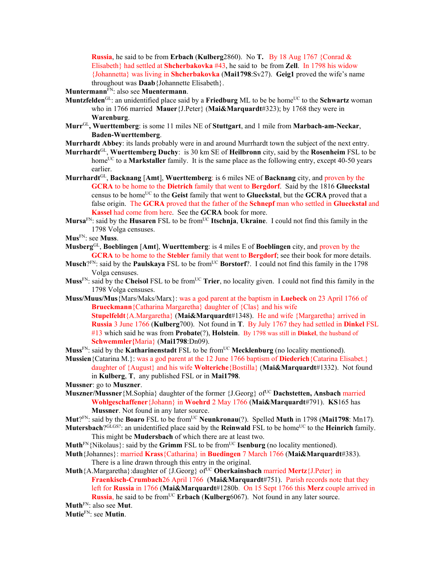**Russia**, he said to be from **Erbach** (**Kulberg**2860). No **T.** By 18 Aug 1767 {Conrad & Elisabeth} had settled at **Shcherbakovka** #43, he said to be from **Zell**. In 1798 his widow {Johannetta} was living in **Shcherbakovka** (**Mai1798**:Sv27). **Geig1** proved the wife's name throughout was **Daab**{Johannette Elisabeth}.

**Muntermann**FN: also see **Muentermann**.

- **Muntzfelden**<sup>GL</sup>: an unidentified place said by a **Friedburg** ML to be be home<sup>UC</sup> to the **Schwartz** woman who in 1766 married **Mauer**{J.Peter} (**Mai&Marquardt**#323); by 1768 they were in **Warenburg**.
- **Murr**GL**, Wuerttemberg**: is some 11 miles NE of **Stuttgart**, and 1 mile from **Marbach-am-Neckar**, **Baden-Wuerttemberg**.
- **Murrhardt Abbey**: its lands probably were in and around Murrhardt town the subject of the next entry.
- **Murrhardt**GL, **Wuerttemberg Duchy**: is 30 km SE of **Heilbronn** city, said by the **Rosenheim** FSL to be home<sup>UC</sup> to a **Markstaller** family. It is the same place as the following entry, except 40-50 years earlier.
- **Murrhardt**GL, **Backnang** [**Amt**], **Wuerttemberg**: is 6 miles NE of **Backnang** city, and proven by the **GCRA** to be home to the **Dietrich** family that went to **Bergdorf**. Said by the 1816 **Glueckstal** census to be homeUC to the **Geist** family that went to **Glueckstal**, but the **GCRA** proved that a false origin. The **GCRA** proved that the father of the **Schnepf** man who settled in **Glueckstal** and **Kassel** had come from here. See the **GCRA** book for more.
- **Mursa**FN: said by the **Husaren** FSL to be fromUC **Itschnja**, **Ukraine**. I could not find this family in the 1798 Volga censuses.
- **Mus**FN: see **Muss**.
- **Musberg**GL, **Boeblingen** [**Amt**], **Wuerttemberg**: is 4 miles E of **Boeblingen** city, and proven by the **GCRA** to be home to the **Stebler** family that went to **Bergdorf**; see their book for more details.
- **Musch**?<sup>FN</sup>: said by the **Paulskaya** FSL to be from<sup>UC</sup> Borstorf?. I could not find this family in the 1798 Volga censuses.
- **Muss**<sup>FN</sup>: said by the **Cheisol** FSL to be from<sup>UC</sup> **Trier**, no locality given. I could not find this family in the 1798 Volga censuses.
- **Muss/Muus/Mus**{Mars/Maks/Marx}: was a god parent at the baptism in **Luebeck** on 23 April 1766 of **Brueckmann**{Catharina Margaretha} daughter of {Clas} and his wife **Stupelfeldt**{A.Margaretha} (**Mai&Marquardt**#1348). He and wife {Margaretha} arrived in **Russia** 3 June 1766 (**Kulberg**700). Not found in **T**. By July 1767 they had settled in **Dinkel** FSL #13 which said he was from **Probate**(?), **Holstein**. By 1798 was still in **Dinkel**, the husband of **Schwemmler{**Maria} (**Mai1798**:Dn09).
- **Muss**<sup>FN</sup>: said by the **Katharinenstadt** FSL to be from<sup>UC</sup> **Mecklenburg** (no locality mentioned).
- **Mussien**{Catarina M.}: was a god parent at the 12 June 1766 baptism of **Diederich**{Catarina Elisabet.} daughter of {August} and his wife **Wolteriche**{Bostilla} (**Mai&Marquardt**#1332). Not found in **Kulberg**, **T**, any published FSL or in **Mai1798**. **Mussner**: go to **Muszner**.
- **Muszner/Mussner** {M.Sophia} daughter of the former {J.Georg} of<sup>UC</sup> **Dachstetten, Ansbach** married **Wohlgeschaffener**{Johann} in **Woehrd** 2 May 1766 (**Mai&Marquardt**#791). **KS**165 has
	- **Mussner**. Not found in any later source.
- **Mut**?FN: said by the **Boaro** FSL to be from<sup>UC</sup> **Neunkronau**(?). Spelled **Muth** in 1798 (**Mai1798**: Mn17).
- **Mutersbach**?<sup>GLGS?</sup>: an unidentified place said by the **Reinwald** FSL to be home<sup>UC</sup> to the **Heinrich** family. This might be **Mudersbach** of which there are at least two.
- **Muth**<sup>FN</sup>{Nikolaus}: said by the **Grimm** FSL to be from<sup>UC</sup> **Isenburg** (no locality mentioned).
- **Muth**{Johannes}: married **Krass**{Catharina} in **Buedingen** 7 March 1766 (**Mai&Marquardt**#383). There is a line drawn through this entry in the original.
- **Muth**{A.Margaretha}:daughter of {J.Georg} of<sup>UC</sup> Oberkainsbach married **Mertz**{J.Peter} in **Fraenkisch-Crumbach**26 April 1766(**Mai&Marquardt**#751). Parish records note that they left for **Russia** in 1766 (**Mai&Marquardt**#1280b. On 15 Sept 1766 this **Merz** couple arrived in **Russia**, he said to be from<sup>UC</sup> **Erbach** (**Kulberg**6067). Not found in any later source.

**Muth**FN: also see **Mut**.

**Mutie**FN: see **Mutin**.